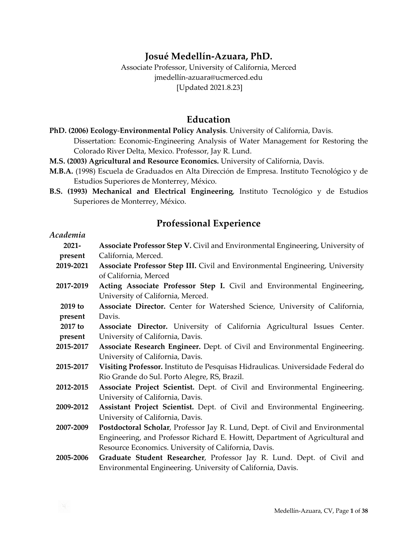# **Josué Medellín-Azuara, PhD.**

Associate Professor, University of California, Merced jmedellín-azuara@ucmerced.edu [Updated 2021.8.23]

#### **Education**

- **PhD. (2006) Ecology**-**Environmental Policy Analysis**. University of California, Davis. Dissertation: Economic-Engineering Analysis of Water Management for Restoring the Colorado River Delta, Mexico. Professor, Jay R. Lund.
- **M.S. (2003) Agricultural and Resource Economics.** University of California, Davis.
- **M.B.A.** (1998) Escuela de Graduados en Alta Dirección de Empresa. Instituto Tecnológico y de Estudios Superiores de Monterrey, México.
- **B.S. (1993) Mechanical and Electrical Engineering**, Instituto Tecnológico y de Estudios Superiores de Monterrey, México.

## **Professional Experience**

| Academia  |                                                                                 |  |  |
|-----------|---------------------------------------------------------------------------------|--|--|
| $2021 -$  | Associate Professor Step V. Civil and Environmental Engineering, University of  |  |  |
| present   | California, Merced.                                                             |  |  |
| 2019-2021 | Associate Professor Step III. Civil and Environmental Engineering, University   |  |  |
|           | of California, Merced                                                           |  |  |
| 2017-2019 | Acting Associate Professor Step I. Civil and Environmental Engineering,         |  |  |
|           | University of California, Merced.                                               |  |  |
| 2019 to   | Associate Director. Center for Watershed Science, University of California,     |  |  |
| present   | Davis.                                                                          |  |  |
| 2017 to   | Associate Director. University of California Agricultural Issues Center.        |  |  |
| present   | University of California, Davis.                                                |  |  |
| 2015-2017 | Associate Research Engineer. Dept. of Civil and Environmental Engineering.      |  |  |
|           | University of California, Davis.                                                |  |  |
| 2015-2017 | Visiting Professor. Instituto de Pesquisas Hidraulicas. Universidade Federal do |  |  |
|           | Rio Grande do Sul. Porto Alegre, RS, Brazil.                                    |  |  |
| 2012-2015 | Associate Project Scientist. Dept. of Civil and Environmental Engineering.      |  |  |
|           | University of California, Davis.                                                |  |  |
| 2009-2012 | Assistant Project Scientist. Dept. of Civil and Environmental Engineering.      |  |  |
|           | University of California, Davis.                                                |  |  |
| 2007-2009 | Postdoctoral Scholar, Professor Jay R. Lund, Dept. of Civil and Environmental   |  |  |
|           | Engineering, and Professor Richard E. Howitt, Department of Agricultural and    |  |  |
|           | Resource Economics. University of California, Davis.                            |  |  |
| 2005-2006 | Graduate Student Researcher, Professor Jay R. Lund. Dept. of Civil and          |  |  |
|           | Environmental Engineering. University of California, Davis.                     |  |  |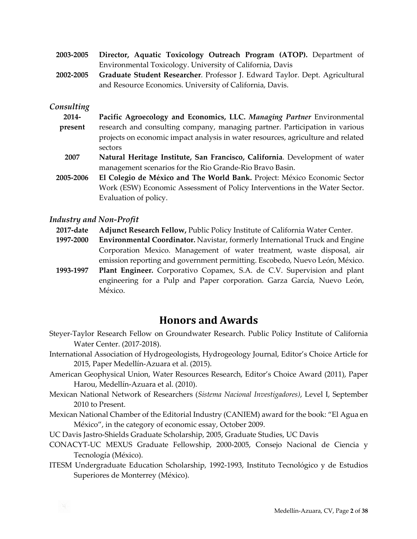- **2003-2005 Director, Aquatic Toxicology Outreach Program (ATOP).** Department of Environmental Toxicology. University of California, Davis
- **2002-2005 Graduate Student Researcher**. Professor J. Edward Taylor. Dept. Agricultural and Resource Economics. University of California, Davis.

#### *Consulting*

- **2014 present Pacific Agroecology and Economics, LLC.** *Managing Partner* Environmental research and consulting company, managing partner. Participation in various projects on economic impact analysis in water resources, agriculture and related sectors
- **2007 Natural Heritage Institute, San Francisco, California**. Development of water management scenarios for the Rio Grande-Rio Bravo Basin.
- **2005-2006 El Colegio de México and The World Bank.** Project: México Economic Sector Work (ESW) Economic Assessment of Policy Interventions in the Water Sector. Evaluation of policy.

#### *Industry and Non-Profit*

- **2017-date Adjunct Research Fellow,** Public Policy Institute of California Water Center.
- **1997-2000 Environmental Coordinator.** Navistar, formerly International Truck and Engine Corporation Mexico. Management of water treatment, waste disposal, air emission reporting and government permitting. Escobedo, Nuevo León, México.
- **1993-1997 Plant Engineer.** Corporativo Copamex, S.A. de C.V. Supervision and plant engineering for a Pulp and Paper corporation. Garza García, Nuevo León, México.

# **Honors and Awards**

- Steyer-Taylor Research Fellow on Groundwater Research. Public Policy Institute of California Water Center. (2017-2018).
- International Association of Hydrogeologists, Hydrogeology Journal, Editor's Choice Article for 2015, Paper Medellín-Azuara et al. (2015).
- American Geophysical Union, Water Resources Research, Editor's Choice Award (2011), Paper Harou, Medellín-Azuara et al. (2010).
- Mexican National Network of Researchers (*Sistema Nacional Investigadores)*, Level I, September 2010 to Present.
- Mexican National Chamber of the Editorial Industry (CANIEM) award for the book: "El Agua en México", in the category of economic essay, October 2009.
- UC Davis Jastro-Shields Graduate Scholarship, 2005, Graduate Studies, UC Davis
- CONACYT-UC MEXUS Graduate Fellowship, 2000-2005, Consejo Nacional de Ciencia y Tecnología (México).
- ITESM Undergraduate Education Scholarship, 1992-1993, Instituto Tecnológico y de Estudios Superiores de Monterrey (México).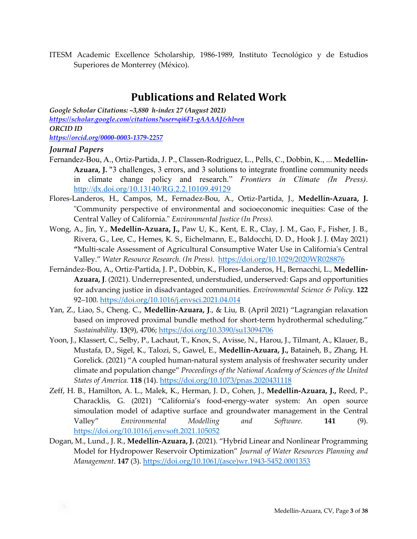ITESM Academic Excellence Scholarship, 1986-1989, Instituto Tecnológico y de Estudios Superiores de Monterrey (México).

# **Publications and Related Work**

*Google Scholar Citations: ~3,880 h-index 27 (August 2021) <https://scholar.google.com/citations?user=qi6F1-gAAAAJ&hl=en> ORCID ID <https://orcid.org/0000-0003-1379-2257>*

#### *Journal Papers*

- Fernandez-Bou, A., Ortiz-Partida, J. P., Classen-Rodriguez, L., Pells, C., Dobbin, K., ... **Medellín-Azuara, J.** "3 challenges, 3 errors, and 3 solutions to integrate frontline community needs in climate change policy and research." *Frontiers in Climate (In Press)*. <http://dx.doi.org/10.13140/RG.2.2.10109.49129>
- Flores-Landeros, H., Campos, M., Fernadez-Bou, A., Ortiz-Partida, J., **Medellín-Azuara, J.**  "Community perspective of environmental and socioeconomic inequities: Case of the Central Valley of California." *Environmental Justice (In Press).*
- Wong, A., Jin, Y., **Medellín-Azuara, J.,** Paw U, K., Kent, E. R., Clay, J. M., Gao, F., Fisher, J. B., Rivera, G., Lee, C., Hemes, K. S., Eichelmann, E., Baldocchi, D. D., Hook J. J. **(**May 2021) **"**Multi-scale Assessment of Agricultural Consumptive Water Use in California's Central Valley." *Water Resource Research. (In Press).* <https://doi.org/10.1029/2020WR028876>
- Fernández-Bou, A., Ortiz-Partida, J. P., Dobbin, K., Flores-Landeros, H., Bernacchi, L., **Medellín-Azuara, J**. (2021). Underrepresented, understudied, underserved: Gaps and opportunities for advancing justice in disadvantaged communities. *Environmental Science & Policy.* **122** 92–100.<https://doi.org/10.1016/j.envsci.2021.04.014>
- Yan, Z., Liao, S., Cheng. C., **Medellín-Azuara, J**., & Liu, B. (April 2021) "Lagrangian relaxation based on improved proximal bundle method for short-term hydrothermal scheduling." *Sustainability*. **13**(9), 4706;<https://doi.org/10.3390/su13094706>
- Yoon, J., Klassert, C., Selby, P., Lachaut, T., Knox, S., Avisse, N., Harou, J., Tilmant, A., Klauer, B., Mustafa, D., Sigel, K., Talozi, S., Gawel, E., **Medellín-Azuara, J.,** Bataineh, B., Zhang, H. Gorelick. (2021) "A coupled human-natural system analysis of freshwater security under climate and population change" *Proceedings of the National Academy of Sciences of the United States of America.* **118** (14).<https://doi.org/10.1073/pnas.2020431118>
- Zeff, H. B., Hamilton, A. L., Malek, K., Herman, J. D., Cohen, J., **Medellín-Azuara, J.,** Reed, P., Characklis, G. (2021) "California's food-energy-water system: An open source simoulation model of adaptive surface and groundwater management in the Central Valley" *Environmental Modelling and Software.* **141** (9). <https://doi.org/10.1016/j.envsoft.2021.105052>
- Dogan, M., Lund., J. R., **Medellín-Azuara, J.** (2021). "Hybrid Linear and Nonlinear Programming Model for Hydropower Reservoir Optimization" *Journal of Water Resources Planning and Management*. **147** (3). [https://doi.org/10.1061/\(asce\)wr.1943-5452.0001353](https://doi.org/10.1061/(asce)wr.1943-5452.0001353)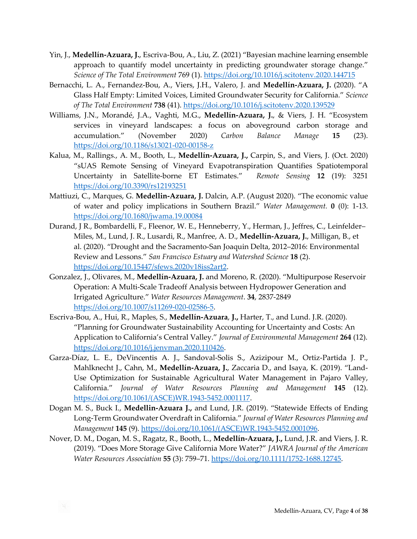- Yin, J., **Medellín-Azuara, J.**, Escriva-Bou, A., Liu, Z. (2021) "Bayesian machine learning ensemble approach to quantify model uncertainty in predicting groundwater storage change." *Science of The Total Environment* 769 (1).<https://doi.org/10.1016/j.scitotenv.2020.144715>
- Bernacchi, L. A., Fernandez-Bou, A., Viers, J.H., Valero, J. and **Medellín-Azuara, J.** (2020). "A Glass Half Empty: Limited Voices, Limited Groundwater Security for California." *Science of The Total Environment* **738** (41).<https://doi.org/10.1016/j.scitotenv.2020.139529>
- Williams, J.N., Morandé, J.A., Vaghti, M.G., **Medellín-Azuara, J.**, & Viers, J. H. "Ecosystem services in vineyard landscapes: a focus on aboveground carbon storage and accumulation." (November 2020) *Carbon Balance Manage* **15** (23). <https://doi.org/10.1186/s13021-020-00158-z>
- Kalua, M., Rallings., A. M., Booth, L., **Medellín-Azuara, J.,** Carpin, S., and Viers, J. (Oct. 2020) "sUAS Remote Sensing of Vineyard Evapotranspiration Quantifies Spatiotemporal Uncertainty in Satellite-borne ET Estimates." *Remote Sensing* **12** (19): 3251 <https://doi.org/10.3390/rs12193251>
- Mattiuzi, C., Marques, G. **Medellin-Azuara, J.** Dalcin, A.P. (August 2020). "The economic value of water and policy implications in Southern Brazil." *Water Management.* **0** (0): 1-13. <https://doi.org/10.1680/jwama.19.00084>
- Durand, J R., Bombardelli, F., Fleenor, W. E., Henneberry, Y., Herman, J., Jeffres, C., Leinfelder– Miles, M., Lund, J. R., Lusardi, R., Manfree, A. D., **Medellín-Azuara, J.**, Milligan, B., et al. (2020). "Drought and the Sacramento-San Joaquin Delta, 2012–2016: Environmental Review and Lessons." *San Francisco Estuary and Watershed Science* **18** (2). <https://doi.org/10.15447/sfews.2020v18iss2art2>.
- Gonzalez, J., Olivares, M., **Medellín-Azuara, J.** and Moreno, R. (2020). "Multipurpose Reservoir Operation: A Multi-Scale Tradeoff Analysis between Hydropower Generation and Irrigated Agriculture." *Water Resources Management*. **34**, 2837-2849 <https://doi.org/10.1007/s11269-020-02586-5>.
- Escriva-Bou, A., Hui, R., Maples, S., **Medellín-Azuara**, **J.,** Harter, T., and Lund. J.R. (2020). "Planning for Groundwater Sustainability Accounting for Uncertainty and Costs: An Application to California's Central Valley." *Journal of Environmental Management* **264** (12). <https://doi.org/10.1016/j.jenvman.2020.110426>.
- Garza-Díaz, L. E., DeVincentis A. J., Sandoval-Solis S., Azizipour M., Ortiz-Partida J. P., Mahlknecht J., Cahn, M., **Medellín-Azuara, J.**, Zaccaria D., and Isaya, K. (2019). "Land-Use Optimization for Sustainable Agricultural Water Management in Pajaro Valley, California." *Journal of Water Resources Planning and Management* **145** (12). [https://doi.org/10.1061/\(ASCE\)WR.1943-5452.0001117](https://doi.org/10.1061/(ASCE)WR.1943-5452.0001117).
- Dogan M. S., Buck I., **Medellin-Azuara J.,** and Lund, J.R. (2019). "Statewide Effects of Ending Long-Term Groundwater Overdraft in California." *Journal of Water Resources Planning and Management* **145** (9). [https://doi.org/10.1061/\(ASCE\)WR.1943-5452.0001096](https://doi.org/10.1061/(ASCE)WR.1943-5452.0001096).
- Nover, D. M., Dogan, M. S., Ragatz, R., Booth, L., **Medellín-Azuara, J.,** Lund, J.R. and Viers, J. R. (2019). "Does More Storage Give California More Water?" *JAWRA Journal of the American Water Resources Association* **55** (3): 759–71.<https://doi.org/10.1111/1752-1688.12745>.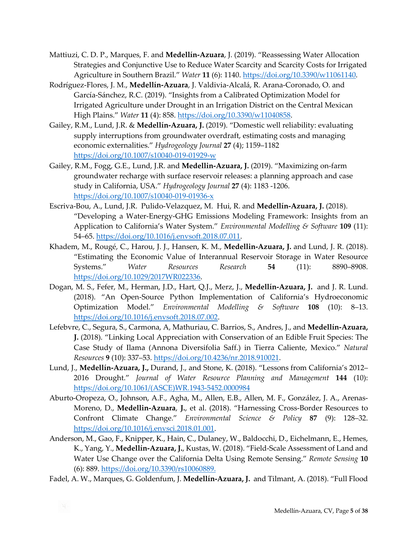- Mattiuzi, C. D. P., Marques, F. and **Medellín-Azuara**, J. (2019). "Reassessing Water Allocation Strategies and Conjunctive Use to Reduce Water Scarcity and Scarcity Costs for Irrigated Agriculture in Southern Brazil." *Water* **11** (6): 1140.<https://doi.org/10.3390/w11061140>.
- Rodríguez-Flores, J. M., **Medellín-Azuara**, J. Valdivia-Alcalá, R. Arana-Coronado, O. and García-Sánchez, R.C. (2019). "Insights from a Calibrated Optimization Model for Irrigated Agriculture under Drought in an Irrigation District on the Central Mexican High Plains." *Water* **11** (4): 858.<https://doi.org/10.3390/w11040858>.
- Gailey, R.M., Lund, J.R. & **Medellín-Azuara, J.** (2019). "Domestic well reliability: evaluating supply interruptions from groundwater overdraft, estimating costs and managing economic externalities." *Hydrogeology Journal* **27** (4); 1159–1182 <https://doi.org/10.1007/s10040-019-01929-w>
- Gailey, R.M., Fogg, G.E., Lund, J.R. and **Medellin-Azuara, J.** (2019). "Maximizing on-farm groundwater recharge with surface reservoir releases: a planning approach and case study in California, USA." *Hydrogeology Journal* **27** (4): 1183 -1206. <https://doi.org/10.1007/s10040-019-01936-x>
- Escriva-Bou, A., Lund, J.R. Pulido-Velazquez, M. Hui, R. and **Medellín-Azuara, J.** (2018). "Developing a Water-Energy-GHG Emissions Modeling Framework: Insights from an Application to California's Water System." *Environmental Modelling & Software* **109** (11): 54–65.<https://doi.org/10.1016/j.envsoft.2018.07.011>.
- Khadem, M., Rougé, C., Harou, J. J., Hansen, K. M., **Medellin-Azuara, J.** and Lund, J. R. (2018). "Estimating the Economic Value of Interannual Reservoir Storage in Water Resource Systems." *Water Resources Research* **54** (11): 8890–8908. <https://doi.org/10.1029/2017WR022336>.
- Dogan, M. S., Fefer, M., Herman, J.D., Hart, Q.J., Merz, J., **Medellín-Azuara, J.** and J. R. Lund. (2018). "An Open-Source Python Implementation of California's Hydroeconomic Optimization Model." *Environmental Modelling & Software* **108** (10): 8–13. <https://doi.org/10.1016/j.envsoft.2018.07.002>.
- Lefebvre, C., Segura, S., Carmona, A, Mathuriau, C. Barrios, S., Andres, J., and **Medellín-Azuara, J.** (2018). "Linking Local Appreciation with Conservation of an Edible Fruit Species: The Case Study of Ilama (Annona Diversifolia Saff.) in Tierra Caliente, Mexico." *Natural Resources* **9** (10): 337–53.<https://doi.org/10.4236/nr.2018.910021>.
- Lund, J., **Medellín-Azuara, J.,** Durand, J., and Stone, K. (2018). "Lessons from California's 2012– 2016 Drought." *Journal of Water Resource Planning and Management* **144** (10): [https://doi.org/10.1061/\(ASCE\)WR.1943-5452.0000984](https://doi.org/10.1061/(ASCE)WR.1943-5452.0000984)
- Aburto-Oropeza, O., Johnson, A.F., Agha, M., Allen, E.B., Allen, M. F., González, J. A., Arenas-Moreno, D., **Medellin-Azuara**, **J.**, et al. (2018). "Harnessing Cross-Border Resources to Confront Climate Change." *Environmental Science & Policy* **87** (9): 128–32. <https://doi.org/10.1016/j.envsci.2018.01.001>.
- Anderson, M., Gao, F., Knipper, K., Hain, C., Dulaney, W., Baldocchi, D., Eichelmann, E., Hemes, K., Yang, Y., **Medellín-Azuara, J.**, Kustas, W. (2018). "Field-Scale Assessment of Land and Water Use Change over the California Delta Using Remote Sensing." *Remote Sensing* **10** (6): 889.<https://doi.org/10.3390/rs10060889.>
- Fadel, A. W., Marques, G. Goldenfum, J. **Medellín-Azuara, J.** and Tilmant, A. (2018). "Full Flood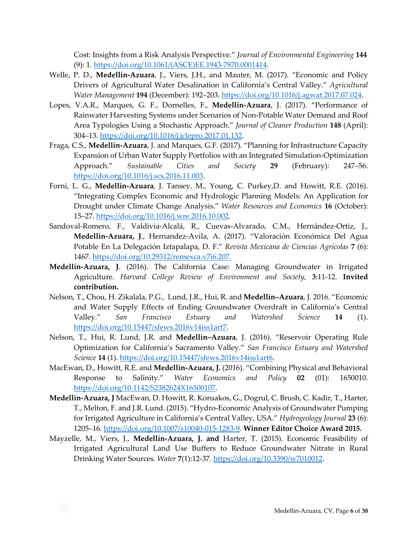Cost: Insights from a Risk Analysis Perspective." *Journal of Environmental Engineering* **144** (9): 1. [https://doi.org/10.1061/\(ASCE\)EE.1943-7870.0001414](https://doi.org/10.1061/(ASCE)EE.1943-7870.0001414).

- Welle, P. D., **Medellín-Azuara**, J., Viers, J.H., and Mauter, M. (2017). "Economic and Policy Drivers of Agricultural Water Desalination in California's Central Valley." *Agricultural Water Management* **194** (December): 192–203.<https://doi.org/10.1016/j.agwat.2017.07.024>.
- Lopes, V.A.R., Marques, G. F., Dornelles, F., **Medellin-Azuara**, J. (2017). "Performance of Rainwater Harvesting Systems under Scenarios of Non-Potable Water Demand and Roof Area Typologies Using a Stochastic Approach." *Journal of Cleaner Production* **148** (April): 304–13.<https://doi.org/10.1016/j.jclepro.2017.01.132>.
- Fraga, C.S., **Medellín-Azuara**, J. and Marques, G.F. (2017). "Planning for Infrastructure Capacity Expansion of Urban Water Supply Portfolios with an Integrated Simulation-Optimization Approach." *Sustainable Cities and Society* **29** (February): 247–56. <https://doi.org/10.1016/j.scs.2016.11.003>.
- Forni, L. G., **Medellín-Azuara**, J. Tansey, M., Young, C. Purkey,D. and Howitt, R.E. (2016). "Integrating Complex Economic and Hydrologic Planning Models: An Application for Drought under Climate Change Analysis." *Water Resources and Economics* **16** (October): 15–27.<https://doi.org/10.1016/j.wre.2016.10.002>.
- Sandoval-Romero, F., Valdivia-Alcalá, R., Cuevas-Alvarado, C.M., Hernández-Ortiz, J., **Medellín-Azuara, J**., Hernandez-Avila, A. (2017). "Valoración Económica Del Agua Potable En La Delegación Iztapalapa, D. F." *Revista Mexicana de Ciencias Agrícolas* **7** (6): 1467.<https://doi.org/10.29312/remexca.v7i6.207.>
- **Medellín-Azuara, J**. (2016). The California Case: Managing Groundwater in Irrigated Agriculture. *Harvard College Review of Environment and Society*, **3**:11-12. **Invited contribution.**
- Nelson, T., Chou, H. Zikalala, P.G., Lund, J.R., Hui, R. and **Medellín–Azuara**, J. 2016. "Economic and Water Supply Effects of Ending Groundwater Overdraft in California's Central Valley." *San Francisco Estuary and Watershed Science* **14** (1). <https://doi.org/10.15447/sfews.2016v14iss1art7>.
- Nelson, T., Hui, R. Lund, J.R. and **Medellín–Azuara**, J. (2016). "Reservoir Operating Rule Optimization for California's Sacramento Valley." *San Francisco Estuary and Watershed Science* **14** (1).<https://doi.org/10.15447/sfews.2016v14iss1art6>.
- MacEwan, D., Howitt, R.E. and **Medellín-Azuara, J.** (2016). "Combining Physical and Behavioral Response to Salinity." *Water Economics and Policy* **02** (01): 1650010. <https://doi.org/10.1142/S2382624X16500107>.
- **Medellín-Azuara, J** MacEwan, D. Howitt, R. Koruakos, G., Dogrul, C. Brush, C. Kadir, T., Harter, T., Melton, F. and J.R. Lund. (2015). "Hydro-Economic Analysis of Groundwater Pumping for Irrigated Agriculture in California's Central Valley, USA." *Hydrogeology Journal* **23** (6): 1205–16.<https://doi.org/10.1007/s10040-015-1283-9>. **Winner Editor Choice Award 2015.**
- Mayzelle, M., Viers, J., **Medellín-Azuara, J. and** Harter, T. (2015). Economic Feasibility of Irrigated Agricultural Land Use Buffers to Reduce Groundwater Nitrate in Rural Drinking Water Sources. *Water* **7**(1):12-37. <https://doi.org/10.3390/w7010012>.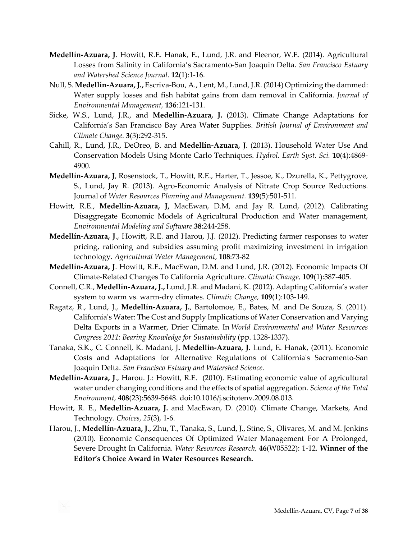- **Medellín-Azuara, J**. Howitt, R.E. Hanak, E., Lund, J.R. and Fleenor, W.E. (2014). Agricultural Losses from Salinity in California's Sacramento-San Joaquin Delta. *San Francisco Estuary and Watershed Science Journal*. **12**(1):1-16.
- Null, S. **Medellín-Azuara, J.,** Escriva-Bou, A., Lent, M., Lund, J.R. (2014) Optimizing the dammed: Water supply losses and fish habitat gains from dam removal in California. *Journal of Environmental Management,* **136**:121-131.
- Sicke, W.S., Lund, J.R., and **Medellín-Azuara, J.** (2013). Climate Change Adaptations for California's San Francisco Bay Area Water Supplies. *British Journal of Environment and Climate Change.* **3**(3):292-315.
- Cahill, R., Lund, J.R., DeOreo, B. and **Medellín-Azuara, J**. (2013). Household Water Use And Conservation Models Using Monte Carlo Techniques. *Hydrol. Earth Syst. Sci.* **10**(4):4869- 4900.
- **Medellín-Azuara, J**, Rosenstock, T., Howitt, R.E., Harter, T., Jessoe, K., Dzurella, K., Pettygrove, S., Lund, Jay R. (2013). Agro-Economic Analysis of Nitrate Crop Source Reductions. Journal of *Water Resources Planning and Management.* **139**(5):501-511.
- Howitt, R.E., **Medellín-Azuara, J,** MacEwan, D.M, and Jay R. Lund, (2012). Calibrating Disaggregate Economic Models of Agricultural Production and Water management, *Environmental Modeling and Software.***38**:244-258.
- **Medellín-Azuara, J**., Howitt, R.E. and Harou, J.J. (2012). Predicting farmer responses to water pricing, rationing and subsidies assuming profit maximizing investment in irrigation technology. *Agricultural Water Management*, **108**:73-82
- **Medellín-Azuara, J**. Howitt, R.E., MacEwan, D.M. and Lund, J.R. (2012). Economic Impacts Of Climate-Related Changes To California Agriculture. *Climatic Change,* **109**(1):387-405.
- Connell, C.R., **Medellín-Azuara, J.,** Lund, J.R. and Madani, K. (2012). Adapting California's water system to warm vs. warm-dry climates. *Climatic Change,* **109**(1):103-149.
- Ragatz, R., Lund, J., **Medellín-Azuara, J.**, Bartolomoe, E., Bates, M. and De Souza, S. (2011). California's Water: The Cost and Supply Implications of Water Conservation and Varying Delta Exports in a Warmer, Drier Climate. In *World Environmental and Water Resources Congress 2011: Bearing Knowledge for Sustainability* (pp. 1328-1337).
- Tanaka, S.K., C. Connell, K. Madani, J**. Medellín-Azuara, J.** Lund, E. Hanak, (2011). Economic Costs and Adaptations for Alternative Regulations of California's Sacramento-San Joaquin Delta. *San Francisco Estuary and Watershed Science.*
- **Medellín-Azuara, J**., Harou. J.: Howitt, R.E. (2010). Estimating economic value of agricultural water under changing conditions and the effects of spatial aggregation. *Science of the Total Environment*, **408**(23):5639-5648. doi:10.1016/j.scitotenv.2009.08.013.
- Howitt, R. E., **Medellín-Azuara, J.** and MacEwan, D. (2010). Climate Change, Markets, And Technology. *Choices*, *25*(3), 1-6.
- Harou, J., **Medellín-Azuara, J.,** Zhu, T., Tanaka, S., Lund, J., Stine, S., Olivares, M. and M. Jenkins (2010). Economic Consequences Of Optimized Water Management For A Prolonged, Severe Drought In California. *Water Resources Research,* **46**(W05522): 1-12. **Winner of the Editor's Choice Award in Water Resources Research.**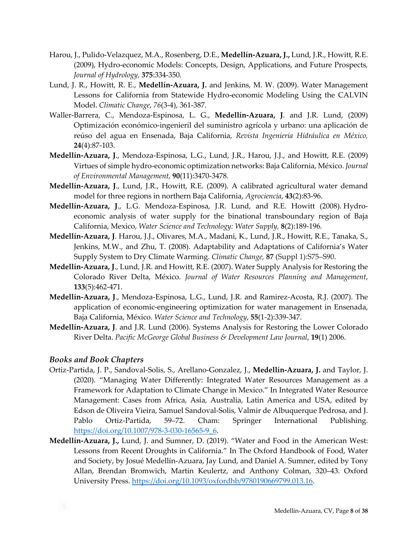- Harou, J., Pulido-Velazquez, M.A., Rosenberg, D.E., **Medellín-Azuara, J.,** Lund, J.R., Howitt, R.E. (2009), Hydro-economic Models: Concepts, Design, Applications, and Future Prospects*, Journal of Hydrology,* **375**:334-350*.*
- Lund, J. R., Howitt, R. E., **Medellín-Azuara, J.** and Jenkins, M. W. (2009). Water Management Lessons for California from Statewide Hydro-economic Modeling Using the CALVIN Model. *Climatic Change*, *76*(3-4), 361-387.
- Waller-Barrera, C., Mendoza-Espinosa, L. G., **Medellín-Azuara, J**. and J.R. Lund, (2009) Optimización económico-ingenieril del suministro agrícola y urbano: una aplicación de reúso del agua en Ensenada, Baja California, *Revista Ingeniería Hidráulica en México,*  **24**(4):87-103.
- **Medellín-Azuara, J**., Mendoza-Espinosa, L.G., Lund, J.R., Harou, J.J., and Howitt, R.E. (2009) Virtues of simple hydro-economic optimization networks: Baja California, México. *Journal of Environmental Management,* **90**(11):3470-3478.
- **Medellín-Azuara, J**., Lund, J.R., Howitt, R.E. (2009). A calibrated agricultural water demand model for three regions in northern Baja California, *Agrociencia*, **43**(2):83-96.
- **Medellín-Azuara, J**., L.G. Mendoza-Espinosa, J.R. Lund, and R.E. Howitt (2008)*.* Hydroeconomic analysis of water supply for the binational transboundary region of Baja California, Mexico, *Water Science and Technology: Water Supply,* **8**(2):189-196*.*
- **Medellín-Azuara, J**. Harou, J.J., Olivares, M.A., Madani, K., Lund, J.R., Howitt, R.E., Tanaka, S., Jenkins, M.W., and Zhu, T. (2008). Adaptability and Adaptations of California's Water Supply System to Dry Climate Warming. *Climatic Change,* **87** (Suppl 1):S75–S90.
- **Medellín-Azuara, J**., Lund, J.R. and Howitt, R.E. (2007). Water Supply Analysis for Restoring the Colorado River Delta, México. *Journal of Water Resources Planning and Management*, **133**(5):462-471.
- **Medellín-Azuara, J**., Mendoza-Espinosa, L.G., Lund, J.R. and Ramirez-Acosta, R.J. (2007). The application of economic-engineering optimization for water management in Ensenada, Baja California, México. *Water Science and Technology*, **55**(1-2):339-347.
- **Medellín-Azuara, J**. and J.R. Lund (2006). Systems Analysis for Restoring the Lower Colorado River Delta. *Pacific McGeorge Global Business & Development Law Journal*, **19**(1) 2006.

#### *Books and Book Chapters*

- Ortiz-Partida, J. P., Sandoval-Solis, S., Arellano-Gonzalez, J., **Medellín-Azuara, J.** and Taylor, J. (2020). "Managing Water Differently: Integrated Water Resources Management as a Framework for Adaptation to Climate Change in Mexico." In Integrated Water Resource Management: Cases from Africa, Asia, Australia, Latin America and USA, edited by Edson de Oliveira Vieira, Samuel Sandoval-Solis, Valmir de Albuquerque Pedrosa, and J. Pablo Ortiz-Partida, 59–72. Cham: Springer International Publishing. [https://doi.org/10.1007/978-3-030-16565-9\\_6](https://doi.org/10.1007/978-3-030-16565-9_6).
- **Medellín-Azuara, J.,** Lund, J. and Sumner, D. (2019). "Water and Food in the American West: Lessons from Recent Droughts in California." In The Oxford Handbook of Food, Water and Society, by Josué Medellín-Azuara, Jay Lund, and Daniel A. Sumner, edited by Tony Allan, Brendan Bromwich, Martin Keulertz, and Anthony Colman, 320–43. Oxford University Press.<https://doi.org/10.1093/oxfordhb/9780190669799.013.16>.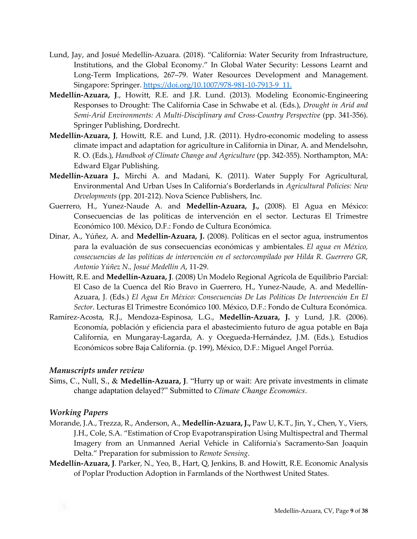- Lund, Jay, and Josué Medellín-Azuara. (2018). "California: Water Security from Infrastructure, Institutions, and the Global Economy." In Global Water Security: Lessons Learnt and Long-Term Implications, 267–79. Water Resources Development and Management. Singapore: Springer. [https://doi.org/10.1007/978-981-10-7913-9\\_11.](https://doi.org/10.1007/978-981-10-7913-9_11.)
- **Medellín-Azuara, J**., Howitt, R.E. and J.R. Lund. (2013). Modeling Economic-Engineering Responses to Drought: The California Case in Schwabe et al. (Eds.), *Drought in Arid and Semi-Arid Environments: A Multi-Disciplinary and Cross-Country Perspective* (pp. 341-356). Springer Publishing, Dordrecht.
- **Medellín-Azuara, J**, Howitt, R.E. and Lund, J.R. (2011). Hydro-economic modeling to assess climate impact and adaptation for agriculture in California in Dinar, A. and Mendelsohn, R. O. (Eds.), *Handbook of Climate Change and Agriculture* (pp. 342-355). Northampton, MA: Edward Elgar Publishing.
- **Medellín-Azuara J.**, Mirchi A. and Madani, K. (2011). Water Supply For Agricultural, Environmental And Urban Uses In California's Borderlands in *Agricultural Policies: New Developments* (pp. 201-212). Nova Science Publishers, Inc.
- Guerrero, H., Yunez-Naude A. and **Medellín-Azuara, J.,** (2008). El Agua en México: Consecuencias de las políticas de intervención en el sector. Lecturas El Trimestre Económico 100. México, D.F.: Fondo de Cultura Económica.
- Dinar, A., Yúñez, A. and **Medellín-Azuara, J.** (2008). Políticas en el sector agua, instrumentos para la evaluación de sus consecuencias económicas y ambientales. *El agua en México, consecuencias de las políticas de intervención en el sectorcompilado por Hilda R. Guerrero GR, Antonio Yúñez N., Josué Medellín A*, 11-29.
- Howitt, R.E. and **Medellín-Azuara, J**. (2008) Un Modelo Regional Agrícola de Equilibrio Parcial: El Caso de la Cuenca del Río Bravo in Guerrero, H., Yunez-Naude, A. and Medellín-Azuara, J. (Eds.) *El Agua En México: Consecuencias De Las Políticas De Intervención En El Sector*. Lecturas El Trimestre Económico 100. México, D.F.: Fondo de Cultura Económica.
- Ramírez-Acosta, R.J., Mendoza-Espinosa, L.G., **Medellín-Azuara, J.** y Lund, J.R. (2006). Economía, población y eficiencia para el abastecimiento futuro de agua potable en Baja California, en Mungaray-Lagarda, A. y Ocegueda-Hernández, J.M. (Eds.), Estudios Económicos sobre Baja California. (p. 199), México, D.F.: Miguel Angel Porrúa.

#### *Manuscripts under review*

Sims, C., Null, S., & **Medellín-Azuara, J**. "Hurry up or wait: Are private investments in climate change adaptation delayed?" Submitted to *Climate Change Economics*.

#### *Working Papers*

- Morande, J.A., Trezza, R., Anderson, A., **Medellín-Azuara, J.,** Paw U, K.T., Jin, Y., Chen, Y., Viers, J.H., Cole, S.A. "Estimation of Crop Evapotranspiration Using Multispectral and Thermal Imagery from an Unmanned Aerial Vehicle in California's Sacramento-San Joaquin Delta." Preparation for submission to *Remote Sensing*.
- **Medellín-Azuara, J**. Parker, N., Yeo, B., Hart, Q, Jenkins, B. and Howitt, R.E. Economic Analysis of Poplar Production Adoption in Farmlands of the Northwest United States.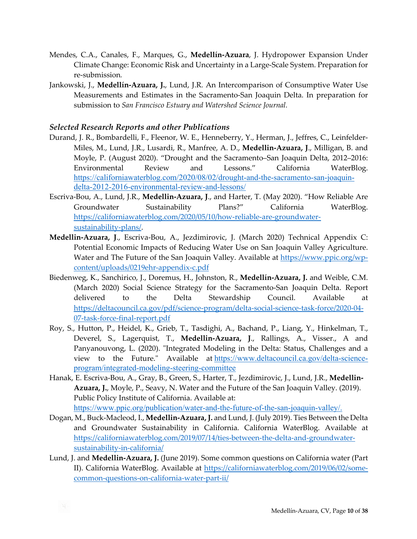- Mendes, C.A., Canales, F., Marques, G., **Medellín-Azuara**, J. Hydropower Expansion Under Climate Change: Economic Risk and Uncertainty in a Large-Scale System. Preparation for re-submission*.*
- Jankowski, J., **Medellín-Azuara, J.**, Lund, J.R. An Intercomparison of Consumptive Water Use Measurements and Estimates in the Sacramento-San Joaquin Delta. In preparation for submission to *San Francisco Estuary and Watershed Science Journal.*

#### *Selected Research Reports and other Publications*

- Durand, J. R., Bombardelli, F., Fleenor, W. E., Henneberry, Y., Herman, J., Jeffres, C., Leinfelder-Miles, M., Lund, J.R., Lusardi, R., Manfree, A. D., **Medellin-Azuara, J**., Milligan, B. and Moyle, P. (August 2020). "Drought and the Sacramento–San Joaquin Delta, 2012–2016: Environmental Review and Lessons." California WaterBlog. [https://californiawaterblog.com/2020/08/02/drought-and-the-sacramento-san-joaquin](https://californiawaterblog.com/2020/08/02/drought-and-the-sacramento-san-joaquin-delta-2012-2016-environmental-review-and-lessons/)[delta-2012-2016-environmental-review-and-lessons/](https://californiawaterblog.com/2020/08/02/drought-and-the-sacramento-san-joaquin-delta-2012-2016-environmental-review-and-lessons/)
- Escriva-Bou, A., Lund, J.R., **Medellin-Azuara, J**., and Harter, T. (May 2020). "How Reliable Are Groundwater Sustainability Plans?" California WaterBlog. [https://californiawaterblog.com/2020/05/10/how-reliable-are-groundwater](https://californiawaterblog.com/2020/05/10/how-reliable-are-groundwater-sustainability-plans/)[sustainability-plans/](https://californiawaterblog.com/2020/05/10/how-reliable-are-groundwater-sustainability-plans/).
- **Medellin-Azuara, J**., Escriva-Bou, A., Jezdimirovic, J. (March 2020) Technical Appendix C: Potential Economic Impacts of Reducing Water Use on San Joaquin Valley Agriculture. Water and The Future of the San Joaquin Valley. Available at [https://www.ppic.org/wp](https://www.ppic.org/wp-content/uploads/0219ehr-appendix-c.pdf)[content/uploads/0219ehr-appendix-c.pdf](https://www.ppic.org/wp-content/uploads/0219ehr-appendix-c.pdf)
- Biedenweg, K., Sanchirico, J., Doremus, H., Johnston, R., **Medellín-Azuara, J.** and Weible, C.M. (March 2020) Social Science Strategy for the Sacramento-San Joaquin Delta. Report delivered to the Delta Stewardship Council. Available at [https://deltacouncil.ca.gov/pdf/science-program/delta-social-science-task-force/2020-04](https://deltacouncil.ca.gov/pdf/science-program/delta-social-science-task-force/2020-04-07-task-force-final-report.pdf)- [07-task-force-final-report.pdf](https://deltacouncil.ca.gov/pdf/science-program/delta-social-science-task-force/2020-04-07-task-force-final-report.pdf)
- Roy, S., Hutton, P., Heidel, K., Grieb, T., Tasdighi, A., Bachand, P., Liang, Y., Hinkelman, T., Deverel, S., Lagerquist, T., **Medellin-Azuara, J**., Rallings, A., Visser., A and Panyanouvong, L. (2020). "Integrated Modeling in the Delta: Status, Challenges and a view to the Future." Available at [https://www.deltacouncil.ca.gov/delta-science](https://www.deltacouncil.ca.gov/delta-science-program/integrated-modeling-steering-committee)[program/integrated-modeling-steering-committee](https://www.deltacouncil.ca.gov/delta-science-program/integrated-modeling-steering-committee)
- Hanak, E. Escriva-Bou, A., Gray, B., Green, S., Harter, T., Jezdimirovic, J., Lund, J.R., **Medellin-Azuara, J.**, Moyle, P., Seavy, N. Water and the Future of the San Joaquin Valley. (2019). Public Policy Institute of California. Available at: [https://www.ppic.org/publication/water-and-the-future-of-the-san-joaquin-valley/.](https://www.ppic.org/publication/water-and-the-future-of-the-san-joaquin-valley/)
- Dogan, M., Buck-Macleod, I., **Medellin-Azuara, J.** and Lund, J. (July 2019). Ties Between the Delta and Groundwater Sustainability in California. California WaterBlog. Available at [https://californiawaterblog.com/2019/07/14/ties-between-the-delta-and-groundwater](https://californiawaterblog.com/2019/07/14/ties-between-the-delta-and-groundwater-sustainability-in-california/)[sustainability-in-california/](https://californiawaterblog.com/2019/07/14/ties-between-the-delta-and-groundwater-sustainability-in-california/)
- Lund, J. and **Medellin-Azuara, J.** (June 2019). Some common questions on California water (Part II). California WaterBlog. Available at [https://californiawaterblog.com/2019/06/02/some](https://californiawaterblog.com/2019/06/02/some-common-questions-on-california-water-part-ii/)[common-questions-on-california-water-part-ii/](https://californiawaterblog.com/2019/06/02/some-common-questions-on-california-water-part-ii/)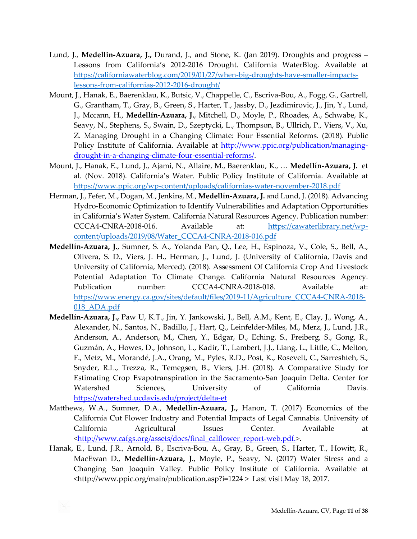- Lund, J., **Medellin-Azuara, J.,** Durand, J., and Stone, K. (Jan 2019). Droughts and progress Lessons from California's 2012-2016 Drought. California WaterBlog. Available at [https://californiawaterblog.com/2019/01/27/when-big-droughts-have-smaller-impacts](https://californiawaterblog.com/2019/01/27/when-big-droughts-have-smaller-impacts-lessons-from-californias-2012-2016-drought/)[lessons-from-californias-2012-2016-drought/](https://californiawaterblog.com/2019/01/27/when-big-droughts-have-smaller-impacts-lessons-from-californias-2012-2016-drought/)
- Mount, J., Hanak, E., Baerenklau, K., Butsic, V., Chappelle, C., Escriva-Bou, A., Fogg, G., Gartrell, G., Grantham, T., Gray, B., Green, S., Harter, T., Jassby, D., Jezdimirovic, J., Jin, Y., Lund, J., Mccann, H., **Medellín-Azuara, J.**, Mitchell, D., Moyle, P., Rhoades, A., Schwabe, K., Seavy, N., Stephens, S., Swain, D., Szeptycki, L., Thompson, B., Ullrich, P., Viers, V., Xu, Z. Managing Drought in a Changing Climate: Four Essential Reforms. (2018). Public Policy Institute of California. Available at [http://www.ppic.org/publication/managing](http://www.ppic.org/publication/managing-drought-in-a-changing-climate-four-essential-reforms/)[drought-in-a-changing-climate-four-essential-reforms/](http://www.ppic.org/publication/managing-drought-in-a-changing-climate-four-essential-reforms/).
- Mount, J., Hanak, E., Lund, J., Ajami, N., Allaire, M., Baerenklau, K., … **Medellín-Azuara, J.** et al. (Nov. 2018). California's Water. Public Policy Institute of California. Available at <https://www.ppic.org/wp-content/uploads/californias-water-november-2018.pdf>
- Herman, J., Fefer, M., Dogan, M., Jenkins, M., **Medellín-Azuara, J.** and Lund, J. (2018). Advancing Hydro-Economic Optimization to Identify Vulnerabilities and Adaptation Opportunities in California's Water System. California Natural Resources Agency. Publication number: CCCA4-CNRA-2018-016. Available at: [https://cawaterlibrary.net/wp](https://cawaterlibrary.net/wp-content/uploads/2019/08/Water_CCCA4-CNRA-2018-016.pdf)[content/uploads/2019/08/Water\\_CCCA4-CNRA-2018-016.pdf](https://cawaterlibrary.net/wp-content/uploads/2019/08/Water_CCCA4-CNRA-2018-016.pdf)
- **Medellín-Azuara, J.**, Sumner, S. A., Yolanda Pan, Q., Lee, H., Espinoza, V., Cole, S., Bell, A., Olivera, S. D., Viers, J. H., Herman, J., Lund, J. (University of California, Davis and University of California, Merced). (2018). Assessment Of California Crop And Livestock Potential Adaptation To Climate Change. California Natural Resources Agency. Publication number: CCCA4-CNRA-2018-018. Available at: [https://www.energy.ca.gov/sites/default/files/2019-11/Agriculture\\_CCCA4-CNRA-2018](https://www.energy.ca.gov/sites/default/files/2019-11/Agriculture_CCCA4-CNRA-2018-018_ADA.pdf)- [018\\_ADA.pdf](https://www.energy.ca.gov/sites/default/files/2019-11/Agriculture_CCCA4-CNRA-2018-018_ADA.pdf)
- **Medellín-Azuara, J.,** Paw U, K.T., Jin, Y. Jankowski, J., Bell, A.M., Kent, E., Clay, J., Wong, A., Alexander, N., Santos, N., Badillo, J., Hart, Q., Leinfelder-Miles, M., Merz, J., Lund, J.R., Anderson, A., Anderson, M., Chen, Y., Edgar, D., Eching, S., Freiberg, S., Gong, R., Guzmán, A., Howes, D., Johnson, L., Kadir, T., Lambert, J.J., Liang, L., Little, C., Melton, F., Metz, M., Morandé, J.A., Orang, M., Pyles, R.D., Post, K., Rosevelt, C., Sarreshteh, S., Snyder, R.L., Trezza, R., Temegsen, B., Viers, J.H. (2018). A Comparative Study for Estimating Crop Evapotranspiration in the Sacramento-San Joaquin Delta. Center for Watershed Sciences, University of California Davis. <https://watershed.ucdavis.edu/project/delta-et>
- Matthews, W.A., Sumner, D.A., **Medellín-Azuara, J.,** Hanon, T. (2017) Economics of the California Cut Flower Industry and Potential Impacts of Legal Cannabis. University of California Agricultural Issues Center. Available at [<http://www.cafgs.org/assets/docs/final\\_calflower\\_report-web.pdf.](http://www.cafgs.org/assets/docs/final_calflower_report-web.pdf.)>.
- Hanak, E., Lund, J.R., Arnold, B., Escriva-Bou, A., Gray, B., Green, S., Harter, T., Howitt, R., MacEwan D., **Medellín-Azuara, J**., Moyle, P., Seavy, N. (2017) Water Stress and a Changing San Joaquin Valley. Public Policy Institute of California. Available at <http://www.ppic.org/main/publication.asp?i=1224 > Last visit May 18, 2017.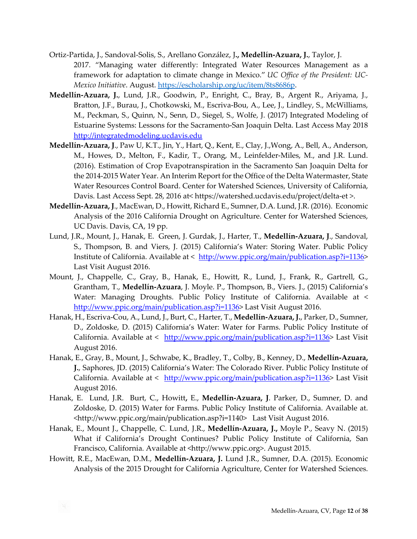- Ortiz-Partida, J., Sandoval-Solis, S., Arellano González, J**., Medellín-Azuara, J.**, Taylor, J. 2017. "Managing water differently: Integrated Water Resources Management as a framework for adaptation to climate change in Mexico." *UC Office of the President: UC-Mexico Initiative*. August.<https://escholarship.org/uc/item/8ts8686p>.
- **Medellín-Azuara, J.**, Lund, J.R., Goodwin, P., Enright, C., Bray, B., Argent R., Ariyama, J., Bratton, J.F., Burau, J., Chotkowski, M., Escriva-Bou, A., Lee, J., Lindley, S., McWilliams, M., Peckman, S., Quinn, N., Senn, D., Siegel, S., Wolfe, J. (2017) Integrated Modeling of Estuarine Systems: Lessons for the Sacramento-San Joaquin Delta. Last Access May 2018 [http://integratedmodeling.ucdavis.edu](http://integratedmodeling.ucdavis.edu/)
- **Medellín-Azuara, J**., Paw U, K.T., Jin, Y., Hart, Q., Kent, E., Clay, J.,Wong, A., Bell, A., Anderson, M., Howes, D., Melton, F., Kadir, T., Orang, M., Leinfelder-Miles, M., and J.R. Lund. (2016). Estimation of Crop Evapotranspiration in the Sacramento San Joaquin Delta for the 2014-2015 Water Year. An Interim Report for the Office of the Delta Watermaster, State Water Resources Control Board. Center for Watershed Sciences, University of California, Davis. Last Access Sept. 28, 2016 at< https://watershed.ucdavis.edu/project/delta-et >.
- **Medellín-Azuara, J**., MacEwan, D., Howitt, Richard E., Sumner, D.A. Lund, J.R. (2016). Economic Analysis of the 2016 California Drought on Agriculture. Center for Watershed Sciences, UC Davis. Davis, CA, 19 pp.
- Lund, J.R., Mount, J., Hanak, E. Green, J. Gurdak, J., Harter, T., **Medellín-Azuara, J**., Sandoval, S., Thompson, B. and Viers, J. (2015) California's Water: Storing Water. Public Policy Institute of California. Available at < <http://www.ppic.org/main/publication.asp?i=1136>> Last Visit August 2016.
- Mount, J., Chappelle, C., Gray, B., Hanak, E., Howitt, R., Lund, J., Frank, R., Gartrell, G., Grantham, T., **Medellín-Azuara**, J. Moyle. P., Thompson, B., Viers. J., (2015) California's Water: Managing Droughts. Public Policy Institute of California. Available at < <http://www.ppic.org/main/publication.asp?i=1136>> Last Visit August 2016.
- Hanak, H., Escriva-Cou, A., Lund, J., Burt, C., Harter, T., **Medellín-Azuara, J.**, Parker, D., Sumner, D., Zoldoske, D. (2015) California's Water: Water for Farms. Public Policy Institute of California. Available at < <http://www.ppic.org/main/publication.asp?i=1136>> Last Visit August 2016.
- Hanak, E., Gray, B., Mount, J., Schwabe, K., Bradley, T., Colby, B., Kenney, D., **Medellín-Azuara, J.**, Saphores, JD. (2015) California's Water: The Colorado River. Public Policy Institute of California. Available at < <http://www.ppic.org/main/publication.asp?i=1136>> Last Visit August 2016.
- Hanak, E. Lund, J.R. Burt, C., Howitt**,** E., **Medellín-Azuara, J**. Parker, D., Sumner, D. and Zoldoske, D. (2015) Water for Farms. Public Policy Institute of California. Available at. <http://www.ppic.org/main/publication.asp?i=1140> Last Visit August 2016.
- Hanak, E., Mount J., Chappelle, C. Lund, J.R., **Medellín-Azuara, J.,** Moyle P., Seavy N. (2015) What if California's Drought Continues? Public Policy Institute of California, San Francisco, California. Available at <http://www.ppic.org>. August 2015.
- Howitt, R.E., MacEwan, D.M., **Medellín-Azuara, J.** Lund J.R., Sumner, D.A. (2015). Economic Analysis of the 2015 Drought for California Agriculture, Center for Watershed Sciences.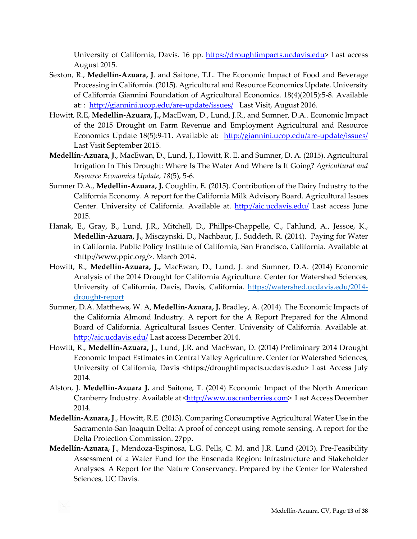University of California, Davis. 16 pp. [https://droughtimpacts.ucdavis.edu](https://droughtimpacts.ucdavis.edu/)> Last access August 2015.

- Sexton, R., **Medellín-Azuara, J**. and Saitone, T.L. The Economic Impact of Food and Beverage Processing in California. (2015). Agricultural and Resource Economics Update. University of California Giannini Foundation of Agricultural Economics. 18(4)(2015):5-8. Available at: : <http://giannini.ucop.edu/are-update/issues/> Last Visit, August 2016.
- Howitt, R.E, **Medellín-Azuara, J.,** MacEwan, D., Lund, J.R., and Sumner, D.A.. Economic Impact of the 2015 Drought on Farm Revenue and Employment Agricultural and Resource Economics Update 18(5):9-11. Available at: <http://giannini.ucop.edu/are-update/issues/> Last Visit September 2015.
- **Medellín-Azuara, J.**, MacEwan, D., Lund, J., Howitt, R. E. and Sumner, D. A. (2015). Agricultural Irrigation In This Drought: Where Is The Water And Where Is It Going? *Agricultural and Resource Economics Update*, *18*(5), 5-6.
- Sumner D.A., **Medellín-Azuara, J.** Coughlin, E. (2015). Contribution of the Dairy Industry to the California Economy. A report for the California Milk Advisory Board. Agricultural Issues Center. University of California. Available at. <http://aic.ucdavis.edu/> Last access June 2015.
- Hanak, E., Gray, B., Lund, J.R., Mitchell, D., Phillps-Chappelle, C., Fahlund, A., Jessoe, K., **Medellín-Azuara, J.**, Misczynski, D., Nachbaur, J., Suddeth, R. (2014). Paying for Water in California. Public Policy Institute of California, San Francisco, California. Available at <http://www.ppic.org/>. March 2014.
- Howitt, R., **Medellín-Azuara, J.,** MacEwan, D., Lund, J. and Sumner, D.A. (2014) Economic Analysis of the 2014 Drought for California Agriculture. Center for Watershed Sciences, University of California, Davis, Davis, California. [https://watershed.ucdavis.edu/2014](https://watershed.ucdavis.edu/2014-drought-report) [drought-report](https://watershed.ucdavis.edu/2014-drought-report)
- Sumner, D.A. Matthews, W. A, **Medellín-Azuara, J.** Bradley, A. (2014). The Economic Impacts of the California Almond Industry. A report for the A Report Prepared for the Almond Board of California. Agricultural Issues Center. University of California. Available at. <http://aic.ucdavis.edu/> Last access December 2014.
- Howitt, R., **Medellín-Azuara, J**., Lund, J.R. and MacEwan, D. (2014) Preliminary 2014 Drought Economic Impact Estimates in Central Valley Agriculture. Center for Watershed Sciences, University of California, Davis <https://droughtimpacts.ucdavis.edu> Last Access July 2014.
- Alston, J. **Medellín-Azuara J.** and Saitone, T. (2014) Economic Impact of the North American Cranberry Industry. Available at [<http://www.uscranberries.com](http://www.uscranberries.com/)> Last Access December 2014.
- **Medellín-Azuara, J**., Howitt, R.E. (2013). Comparing Consumptive Agricultural Water Use in the Sacramento-San Joaquin Delta: A proof of concept using remote sensing. A report for the Delta Protection Commission. 27pp.
- **Medellín-Azuara, J**., Mendoza-Espinosa, L.G. Pells, C. M. and J.R. Lund (2013). Pre-Feasibility Assessment of a Water Fund for the Ensenada Region: Infrastructure and Stakeholder Analyses. A Report for the Nature Conservancy. Prepared by the Center for Watershed Sciences, UC Davis.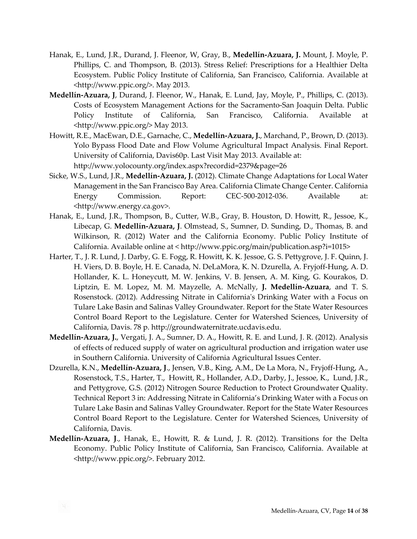- Hanak, E., Lund, J.R., Durand, J. Fleenor, W, Gray, B., **Medellín-Azuara, J.** Mount, J. Moyle, P. Phillips, C. and Thompson, B. (2013). Stress Relief: Prescriptions for a Healthier Delta Ecosystem. Public Policy Institute of California, San Francisco, California. Available at <http://www.ppic.org/>. May 2013.
- **Medellín-Azuara, J**, Durand, J. Fleenor, W., Hanak, E. Lund, Jay, Moyle, P., Phillips, C. (2013). Costs of Ecosystem Management Actions for the Sacramento-San Joaquin Delta. Public Policy Institute of California, San Francisco, California. Available at <http://www.ppic.org/> May 2013.
- Howitt, R.E., MacEwan, D.E., Garnache, C., **Medellín-Azuara, J.**, Marchand, P., Brown, D. (2013). Yolo Bypass Flood Date and Flow Volume Agricultural Impact Analysis. Final Report. University of California, Davis60p. Last Visit May 2013. Available at: http://www.yolocounty.org/index.aspx?recordid=2379&page=26
- Sicke, W.S., Lund, J.R., **Medellín-Azuara, J.** (2012). Climate Change Adaptations for Local Water Management in the San Francisco Bay Area. California Climate Change Center. California Energy Commission. Report: CEC-500-2012-036. Available at: <http://www.energy.ca.gov>.
- Hanak, E., Lund, J.R., Thompson, B., Cutter, W.B., Gray, B. Houston, D. Howitt, R., Jessoe, K., Libecap, G. **Medellín-Azuara, J**. Olmstead, S., Sumner, D. Sunding, D., Thomas, B. and Wilkinson, R. (2012) Water and the California Economy. Public Policy Institute of California. Available online at < http://www.ppic.org/main/publication.asp?i=1015>
- Harter, T., J. R. Lund, J. Darby, G. E. Fogg, R. Howitt, K. K. Jessoe, G. S. Pettygrove, J. F. Quinn, J. H. Viers, D. B. Boyle, H. E. Canada, N. DeLaMora, K. N. Dzurella, A. Fryjoff-Hung, A. D. Hollander, K. L. Honeycutt, M. W. Jenkins, V. B. Jensen, A. M. King, G. Kourakos, D. Liptzin, E. M. Lopez, M. M. Mayzelle, A. McNally, **J. Medellín-Azuara**, and T. S. Rosenstock. (2012). Addressing Nitrate in California's Drinking Water with a Focus on Tulare Lake Basin and Salinas Valley Groundwater. Report for the State Water Resources Control Board Report to the Legislature. Center for Watershed Sciences, University of California, Davis. 78 p. http://groundwaternitrate.ucdavis.edu.
- **Medellín-Azuara, J.**, Vergati, J. A., Sumner, D. A., Howitt, R. E. and Lund, J. R. (2012). Analysis of effects of reduced supply of water on agricultural production and irrigation water use in Southern California. University of California Agricultural Issues Center.
- Dzurella, K.N., **Medellín-Azuara, J**., Jensen, V.B., King, A.M., De La Mora, N., Fryjoff-Hung, A., Rosenstock, T.S., Harter, T., Howitt, R., Hollander, A.D., Darby, J., Jessoe, K., Lund, J.R., and Pettygrove, G.S. (2012) Nitrogen Source Reduction to Protect Groundwater Quality. Technical Report 3 in: Addressing Nitrate in California's Drinking Water with a Focus on Tulare Lake Basin and Salinas Valley Groundwater. Report for the State Water Resources Control Board Report to the Legislature. Center for Watershed Sciences, University of California, Davis.
- **Medellín-Azuara, J**., Hanak, E., Howitt, R. & Lund, J. R. (2012). Transitions for the Delta Economy. Public Policy Institute of California, San Francisco, California. Available at <http://www.ppic.org/>. February 2012.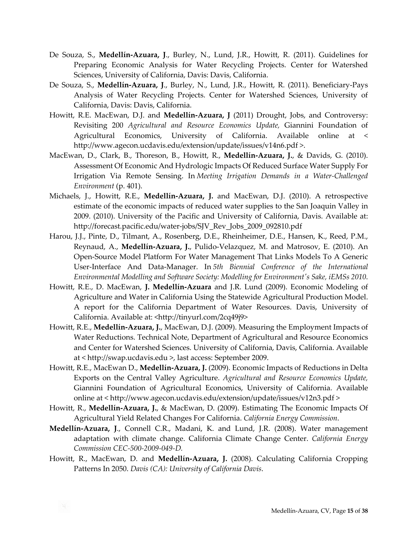- De Souza, S., **Medellín-Azuara, J**., Burley, N., Lund, J.R., Howitt, R. (2011). Guidelines for Preparing Economic Analysis for Water Recycling Projects. Center for Watershed Sciences, University of California, Davis: Davis, California.
- De Souza, S., **Medellín-Azuara, J**., Burley, N., Lund, J.R., Howitt, R. (2011). Beneficiary-Pays Analysis of Water Recycling Projects. Center for Watershed Sciences, University of California, Davis: Davis, California.
- Howitt, R.E. MacEwan, D.J. and **Medellín-Azuara, J** (2011) Drought, Jobs, and Controversy: Revisiting 200 *Agricultural and Resource Economics Update,* Giannini Foundation of Agricultural Economics, University of California. Available online at < http://www.agecon.ucdavis.edu/extension/update/issues/v14n6.pdf >.
- MacEwan, D., Clark, B., Thoreson, B., Howitt, R., **Medellín-Azuara, J.**, & Davids, G. (2010). Assessment Of Economic And Hydrologic Impacts Of Reduced Surface Water Supply For Irrigation Via Remote Sensing. In *Meeting Irrigation Demands in a Water-Challenged Environment* (p. 401).
- Michaels, J., Howitt, R.E., **Medellín-Azuara, J.** and MacEwan, D.J. (2010). A retrospective estimate of the economic impacts of reduced water supplies to the San Joaquin Valley in 2009. (2010). University of the Pacific and University of California, Davis. Available at: http://forecast.pacific.edu/water-jobs/SJV\_Rev\_Jobs\_2009\_092810.pdf
- Harou, J.J., Pinte, D., Tilmant, A., Rosenberg, D.E., Rheinheimer, D.E., Hansen, K., Reed, P.M., Reynaud, A., **Medellín-Azuara, J.**, Pulido-Velazquez, M. and Matrosov, E. (2010). An Open-Source Model Platform For Water Management That Links Models To A Generic User-Interface And Data-Manager. In *5th Biennial Conference of the International Environmental Modelling and Software Society: Modelling for Environment's Sake, iEMSs 2010*.
- Howitt, R.E., D. MacEwan, **J. Medellín-Azuara** and J.R. Lund (2009). Economic Modeling of Agriculture and Water in California Using the Statewide Agricultural Production Model. A report for the California Department of Water Resources. Davis, University of California. Available at: <http://tinyurl.com/2cq49j9>
- Howitt, R.E., **Medellín-Azuara, J.**, MacEwan, D.J. (2009). Measuring the Employment Impacts of Water Reductions. Technical Note, Department of Agricultural and Resource Economics and Center for Watershed Sciences. University of California, Davis, California. Available at < http://swap.ucdavis.edu >, last access: September 2009.
- Howitt, R.E., MacEwan D., **Medellín-Azuara, J.** (2009). Economic Impacts of Reductions in Delta Exports on the Central Valley Agriculture. *Agricultural and Resource Economics Update,* Giannini Foundation of Agricultural Economics, University of California. Available online at < http://www.agecon.ucdavis.edu/extension/update/issues/v12n3.pdf >
- Howitt, R., **Medellín-Azuara, J.**, & MacEwan, D. (2009). Estimating The Economic Impacts Of Agricultural Yield Related Changes For California. *California Energy Commission*.
- **Medellín-Azuara, J**., Connell C.R., Madani, K. and Lund, J.R. (2008). Water management adaptation with climate change. California Climate Change Center. *California Energy Commission CEC-500-2009-049-D.*
- Howitt, R., MacEwan, D. and **Medellín-Azuara, J.** (2008). Calculating California Cropping Patterns In 2050. *Davis (CA): University of California Davis*.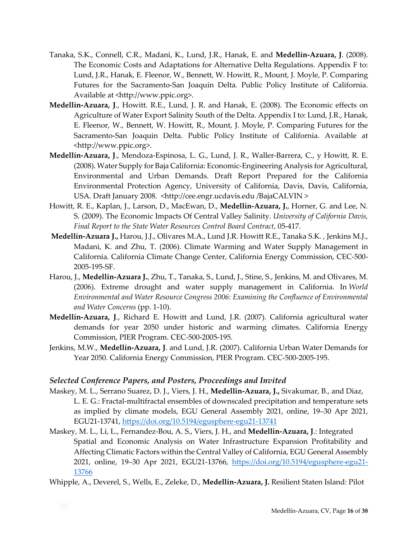- Tanaka, S.K., Connell, C.R., Madani, K., Lund, J.R., Hanak, E. and **Medellín-Azuara, J**. (2008). The Economic Costs and Adaptations for Alternative Delta Regulations. Appendix F to: Lund, J.R., Hanak, E. Fleenor, W., Bennett, W. Howitt, R., Mount, J. Moyle, P. Comparing Futures for the Sacramento-San Joaquin Delta. Public Policy Institute of California. Available at <http://www.ppic.org>.
- **Medellín-Azuara, J**., Howitt. R.E., Lund, J. R. and Hanak, E. (2008). The Economic effects on Agriculture of Water Export Salinity South of the Delta. Appendix I to: Lund, J.R., Hanak, E. Fleenor, W., Bennett, W. Howitt, R., Mount, J. Moyle, P. Comparing Futures for the Sacramento-San Joaquin Delta. Public Policy Institute of California. Available at <http://www.ppic.org>.
- **Medellín-Azuara, J**., Mendoza-Espinosa, L. G., Lund, J. R., Waller-Barrera, C., y Howitt, R. E. (2008). Water Supply for Baja California: Economic-Engineering Analysis for Agricultural, Environmental and Urban Demands. Draft Report Prepared for the California Environmental Protection Agency, University of California, Davis, Davis, California, USA. Draft January 2008. < http://cee.engr.ucdavis.edu /BajaCALVIN >
- Howitt, R. E., Kaplan, J., Larson, D., MacEwan, D., **Medellín-Azuara, J.**, Horner, G. and Lee, N. S. (2009). The Economic Impacts Of Central Valley Salinity. *University of California Davis, Final Report to the State Water Resources Control Board Contract*, 05-417.
- **Medellín-Azuara J.,** Harou, J.J., Olivares M.A., Lund J.R. Howitt R.E., Tanaka S.K. , Jenkins M.J., Madani, K. and Zhu, T. (2006). Climate Warming and Water Supply Management in California. California Climate Change Center, California Energy Commission, CEC-500- 2005-195-SF.
- Harou, J., **Medellín-Azuara J.**, Zhu, T., Tanaka, S., Lund, J., Stine, S., Jenkins, M. and Olivares, M. (2006). Extreme drought and water supply management in California. In *World Environmental and Water Resource Congress 2006: Examining the Confluence of Environmental and Water Concerns* (pp. 1-10).
- **Medellín-Azuara, J**., Richard E. Howitt and Lund, J.R. (2007). California agricultural water demands for year 2050 under historic and warming climates. California Energy Commission, PIER Program. CEC-500-2005-195.
- Jenkins, M.W., **Medellín-Azuara, J**. and Lund, J.R. (2007). California Urban Water Demands for Year 2050. California Energy Commission, PIER Program. CEC-500-2005-195.

#### *Selected Conference Papers, and Posters, Proceedings and Invited*

- Maskey, M. L., Serrano Suarez, D. J., Viers, J. H., **Medellin-Azuara, J.,** Sivakumar, B., and Diaz, L. E. G.: Fractal-multifractal ensembles of downscaled precipitation and temperature sets as implied by climate models, EGU General Assembly 2021, online, 19–30 Apr 2021, EGU21-13741,<https://doi.org/10.5194/egusphere-egu21-13741>
- Maskey, M. L., Li, L., Fernandez-Bou, A. S., Viers, J. H., and **Medellin-Azuara, J**.: Integrated Spatial and Economic Analysis on Water Infrastructure Expansion Profitability and Affecting Climatic Factors within the Central Valley of California, EGU General Assembly 2021, online, 19–30 Apr 2021, EGU21-13766, [https://doi.org/10.5194/egusphere-egu21](https://doi.org/10.5194/egusphere-egu21-13766)- [13766](https://doi.org/10.5194/egusphere-egu21-13766)
- Whipple, A., Deverel, S., Wells, E., Zeleke, D., **Medellín-Azuara, J.** Resilient Staten Island: Pilot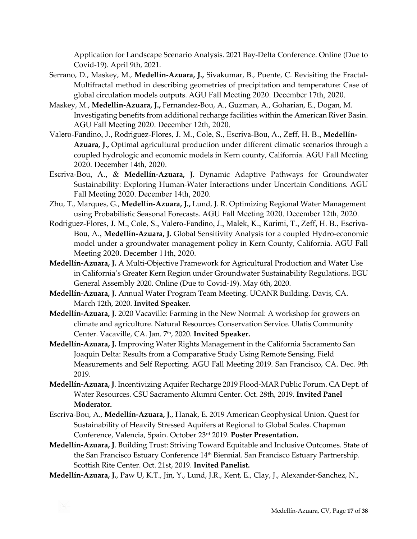Application for Landscape Scenario Analysis. 2021 Bay-Delta Conference. Online (Due to Covid-19). April 9th, 2021.

- Serrano, D., Maskey, M., **Medellín-Azuara, J.,** Sivakumar, B., Puente, C. Revisiting the Fractal-Multifractal method in describing geometries of precipitation and temperature: Case of global circulation models outputs. AGU Fall Meeting 2020. December 17th, 2020.
- Maskey, M., **Medellín-Azuara, J.,** Fernandez-Bou, A., Guzman, A., Goharian, E., Dogan, M. Investigating benefits from additional recharge facilities within the American River Basin. AGU Fall Meeting 2020. December 12th, 2020.
- Valero-Fandino, J., Rodriguez-Flores, J. M., Cole, S., Escriva-Bou, A., Zeff, H. B., **Medellín-Azuara, J.,** Optimal agricultural production under different climatic scenarios through a coupled hydrologic and economic models in Kern county, California. AGU Fall Meeting 2020. December 14th, 2020.
- Escriva-Bou, A., & **Medellín-Azuara, J.** Dynamic Adaptive Pathways for Groundwater Sustainability: Exploring Human-Water Interactions under Uncertain Conditions. AGU Fall Meeting 2020. December 14th, 2020.
- Zhu, T., Marques, G., **Medellín-Azuara, J.,** Lund, J. R. Optimizing Regional Water Management using Probabilistic Seasonal Forecasts. AGU Fall Meeting 2020. December 12th, 2020.
- Rodriguez-Flores, J. M., Cole, S., Valero-Fandino, J., Malek, K., Karimi, T., Zeff, H. B., Escriva-Bou, A., **Medellín-Azuara, J.** Global Sensitivity Analysis for a coupled Hydro-economic model under a groundwater management policy in Kern County, California. AGU Fall Meeting 2020. December 11th, 2020.
- **Medellín-Azuara, J.** A Multi-Objective Framework for Agricultural Production and Water Use in California's Greater Kern Region under Groundwater Sustainability Regulations**.** EGU General Assembly 2020. Online (Due to Covid-19). May 6th, 2020.
- **Medellín-Azuara, J.** Annual Water Program Team Meeting. UCANR Building. Davis, CA. March 12th, 2020. **Invited Speaker.**
- **Medellín-Azuara, J**. 2020 Vacaville: Farming in the New Normal: A workshop for growers on climate and agriculture. Natural Resources Conservation Service. Ulatis Community Center. Vacaville, CA. Jan. 7th, 2020. **Invited Speaker.**
- **Medellín-Azuara, J.** Improving Water Rights Management in the California Sacramento San Joaquin Delta: Results from a Comparative Study Using Remote Sensing, Field Measurements and Self Reporting. AGU Fall Meeting 2019. San Francisco, CA. Dec. 9th 2019.
- **Medellín-Azuara, J**. Incentivizing Aquifer Recharge 2019 Flood-MAR Public Forum. CA Dept. of Water Resources. CSU Sacramento Alumni Center. Oct. 28th, 2019. **Invited Panel Moderator.**
- Escriva-Bou, A., **Medellín-Azuara, J**., Hanak, E. 2019 American Geophysical Union. Quest for Sustainability of Heavily Stressed Aquifers at Regional to Global Scales. Chapman Conference, Valencia, Spain. October 23rd 2019. **Poster Presentation.**
- **Medellín-Azuara, J**. Building Trust: Striving Toward Equitable and Inclusive Outcomes. State of the San Francisco Estuary Conference 14<sup>th</sup> Biennial. San Francisco Estuary Partnership. Scottish Rite Center. Oct. 21st, 2019. **Invited Panelist.**
- **Medellín-Azuara, J.**, Paw U, K.T., Jin, Y., Lund, J.R., Kent, E., Clay, J., Alexander-Sanchez, N.,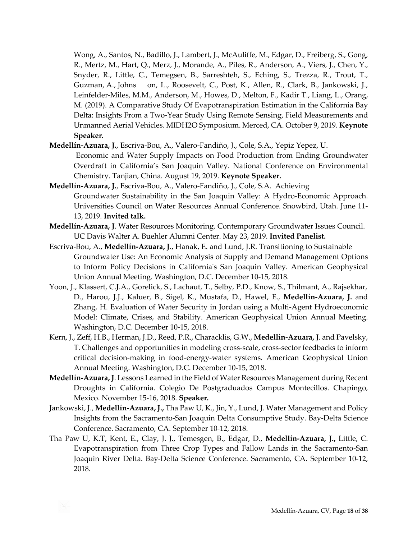Wong, A., Santos, N., Badillo, J., Lambert, J., McAuliffe, M., Edgar, D., Freiberg, S., Gong, R., Mertz, M., Hart, Q., Merz, J., Morande, A., Piles, R., Anderson, A., Viers, J., Chen, Y., Snyder, R., Little, C., Temegsen, B., Sarreshteh, S., Eching, S., Trezza, R., Trout, T., Guzman, A., Johns on, L., Roosevelt, C., Post, K., Allen, R., Clark, B., Jankowski, J., Leinfelder-Miles, M.M., Anderson, M., Howes, D., Melton, F., Kadir T., Liang, L., Orang, M. (2019). A Comparative Study Of Evapotranspiration Estimation in the California Bay Delta: Insights From a Two-Year Study Using Remote Sensing, Field Measurements and Unmanned Aerial Vehicles. MIDH2O Symposium. Merced, CA. October 9, 2019. **Keynote Speaker.**

**Medellín-Azuara, J.**, Escriva-Bou, A., Valero-Fandiño, J., Cole, S.A., Yepiz Yepez, U.

Economic and Water Supply Impacts on Food Production from Ending Groundwater Overdraft in California's San Joaquin Valley. National Conference on Environmental Chemistry. Tanjian, China. August 19, 2019. **Keynote Speaker.**

- **Medellín-Azuara, J.**, Escriva-Bou, A., Valero-Fandiño, J., Cole, S.A. Achieving Groundwater Sustainability in the San Joaquin Valley: A Hydro-Economic Approach. Universities Council on Water Resources Annual Conference. Snowbird, Utah. June 11- 13, 2019. **Invited talk.**
- **Medellín-Azuara, J**. Water Resources Monitoring. Contemporary Groundwater Issues Council. UC Davis Walter A. Buehler Alumni Center. May 23, 2019. **Invited Panelist.**
- Escriva-Bou, A., **Medellín-Azuara, J**., Hanak, E. and Lund, J.R. Transitioning to Sustainable Groundwater Use: An Economic Analysis of Supply and Demand Management Options to Inform Policy Decisions in California's San Joaquin Valley. American Geophysical Union Annual Meeting. Washington, D.C. December 10-15, 2018.
- Yoon, J., Klassert, C.J.A., Gorelick, S., Lachaut, T., Selby, P.D., Know, S., Thilmant, A., Rajsekhar, D., Harou, J.J., Kaluer, B., Sigel, K., Mustafa, D., Hawel, E., **Medellín-Azuara, J.** and Zhang, H. Evaluation of Water Security in Jordan using a Multi-Agent Hydroeconomic Model: Climate, Crises, and Stability. American Geophysical Union Annual Meeting. Washington, D.C. December 10-15, 2018.
- Kern, J., Zeff, H.B., Herman, J.D., Reed, P.R., Characklis, G.W., **Medellín-Azuara, J**. and Pavelsky, T. Challenges and opportunities in modeling cross-scale, cross-sector feedbacks to inform critical decision-making in food-energy-water systems. American Geophysical Union Annual Meeting. Washington, D.C. December 10-15, 2018.
- **Medellín-Azuara, J**. Lessons Learned in the Field of Water Resources Management during Recent Droughts in California. Colegio De Postgraduados Campus Montecillos. Chapingo, Mexico. November 15-16, 2018. **Speaker.**
- Jankowski, J., **Medellín-Azuara, J.,** Tha Paw U, K., Jin, Y., Lund, J. Water Management and Policy Insights from the Sacramento-San Joaquin Delta Consumptive Study. Bay-Delta Science Conference. Sacramento, CA. September 10-12, 2018.
- Tha Paw U, K.T, Kent, E., Clay, J. J., Temesgen, B., Edgar, D., **Medellín-Azuara, J.,** Little, C. Evapotranspiration from Three Crop Types and Fallow Lands in the Sacramento-San Joaquin River Delta. Bay-Delta Science Conference. Sacramento, CA. September 10-12, 2018.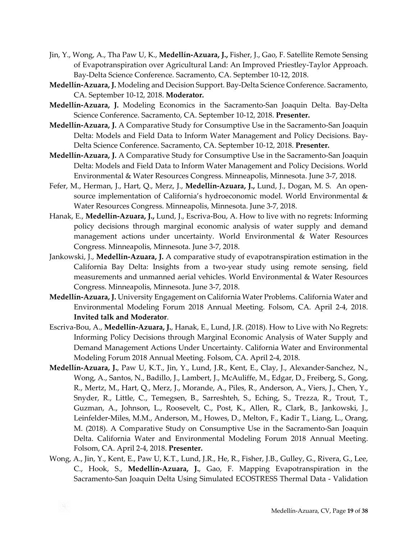- Jin, Y., Wong, A., Tha Paw U, K., **Medellín-Azuara, J.,** Fisher, J., Gao, F. Satellite Remote Sensing of Evapotranspiration over Agricultural Land: An Improved Priestley-Taylor Approach. Bay-Delta Science Conference. Sacramento, CA. September 10-12, 2018.
- **Medellín-Azuara, J.** Modeling and Decision Support. Bay-Delta Science Conference. Sacramento, CA. September 10-12, 2018. **Moderator.**
- **Medellín-Azuara, J.** Modeling Economics in the Sacramento-San Joaquin Delta. Bay-Delta Science Conference. Sacramento, CA. September 10-12, 2018. **Presenter.**
- **Medellín-Azuara, J.** A Comparative Study for Consumptive Use in the Sacramento-San Joaquin Delta: Models and Field Data to Inform Water Management and Policy Decisions. Bay-Delta Science Conference. Sacramento, CA. September 10-12, 2018. **Presenter.**
- **Medellín-Azuara, J.** A Comparative Study for Consumptive Use in the Sacramento-San Joaquin Delta: Models and Field Data to Inform Water Management and Policy Decisions. World Environmental & Water Resources Congress. Minneapolis, Minnesota. June 3-7, 2018.
- Fefer, M., Herman, J., Hart, Q., Merz, J., **Medellín-Azuara, J.,** Lund, J., Dogan, M. S. An opensource implementation of California's hydroeconomic model. World Environmental & Water Resources Congress. Minneapolis, Minnesota. June 3-7, 2018.
- Hanak, E., **Medellín-Azuara, J.,** Lund, J., Escriva-Bou, A. How to live with no regrets: Informing policy decisions through marginal economic analysis of water supply and demand management actions under uncertainty. World Environmental & Water Resources Congress. Minneapolis, Minnesota. June 3-7, 2018.
- Jankowski, J., **Medellín-Azuara, J.** A comparative study of evapotranspiration estimation in the California Bay Delta: Insights from a two-year study using remote sensing, field measurements and unmanned aerial vehicles. World Environmental & Water Resources Congress. Minneapolis, Minnesota. June 3-7, 2018.
- **Medellín-Azuara, J.** University Engagement on California Water Problems. California Water and Environmental Modeling Forum 2018 Annual Meeting. Folsom, CA. April 2-4, 2018. **Invited talk and Moderator**.
- Escriva-Bou, A., **Medellín-Azuara, J.**, Hanak, E., Lund, J.R. (2018). How to Live with No Regrets: Informing Policy Decisions through Marginal Economic Analysis of Water Supply and Demand Management Actions Under Uncertainty. California Water and Environmental Modeling Forum 2018 Annual Meeting. Folsom, CA. April 2-4, 2018.
- **Medellín-Azuara, J.**, Paw U, K.T., Jin, Y., Lund, J.R., Kent, E., Clay, J., Alexander-Sanchez, N., Wong, A., Santos, N., Badillo, J., Lambert, J., McAuliffe, M., Edgar, D., Freiberg, S., Gong, R., Mertz, M., Hart, Q., Merz, J., Morande, A., Piles, R., Anderson, A., Viers, J., Chen, Y., Snyder, R., Little, C., Temegsen, B., Sarreshteh, S., Eching, S., Trezza, R., Trout, T., Guzman, A., Johnson, L., Roosevelt, C., Post, K., Allen, R., Clark, B., Jankowski, J., Leinfelder-Miles, M.M., Anderson, M., Howes, D., Melton, F., Kadir T., Liang, L., Orang, M. (2018). A Comparative Study on Consumptive Use in the Sacramento-San Joaquin Delta. California Water and Environmental Modeling Forum 2018 Annual Meeting. Folsom, CA. April 2-4, 2018. **Presenter.**
- Wong, A., Jin, Y., Kent, E., Paw U, K.T., Lund, J.R., He, R., Fisher, J.B., Gulley, G., Rivera, G., Lee, C., Hook, S., **Medellín-Azuara, J.**, Gao, F. Mapping Evapotranspiration in the Sacramento-San Joaquin Delta Using Simulated ECOSTRESS Thermal Data - Validation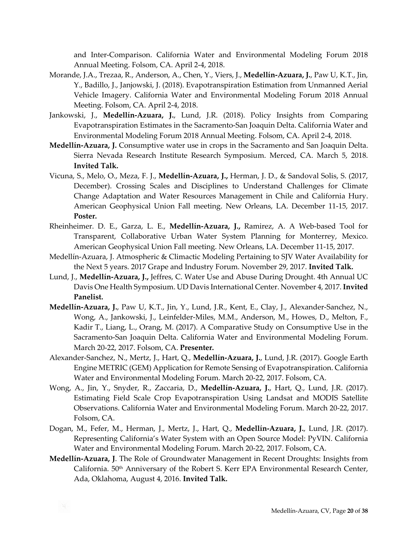and Inter-Comparison. California Water and Environmental Modeling Forum 2018 Annual Meeting. Folsom, CA. April 2-4, 2018.

- Morande, J.A., Trezaa, R., Anderson, A., Chen, Y., Viers, J., **Medellín-Azuara, J.**, Paw U, K.T., Jin, Y., Badillo, J., Janjowski, J. (2018). Evapotranspiration Estimation from Unmanned Aerial Vehicle Imagery. California Water and Environmental Modeling Forum 2018 Annual Meeting. Folsom, CA. April 2-4, 2018.
- Jankowski, J., **Medellín-Azuara, J.**, Lund, J.R. (2018). Policy Insights from Comparing Evapotranspiration Estimates in the Sacramento-San Joaquin Delta. California Water and Environmental Modeling Forum 2018 Annual Meeting. Folsom, CA. April 2-4, 2018.
- **Medellín-Azuara, J.** Consumptive water use in crops in the Sacramento and San Joaquin Delta. Sierra Nevada Research Institute Research Symposium. Merced, CA. March 5, 2018. **Invited Talk.**
- Vicuna, S., Melo, O., Meza, F. J., **Medellín-Azuara, J.,** Herman, J. D., & Sandoval Solis, S. (2017, December). Crossing Scales and Disciplines to Understand Challenges for Climate Change Adaptation and Water Resources Management in Chile and California Hury. American Geophysical Union Fall meeting. New Orleans, LA. December 11-15, 2017. **Poster.**
- Rheinheimer. D. E., Garza, L. E., **Medellín-Azuara, J.,** Ramirez, A. A Web-based Tool for Transparent, Collaborative Urban Water System Planning for Monterrey, Mexico. American Geophysical Union Fall meeting. New Orleans, LA. December 11-15, 2017.
- Medellín-Azuara, J. Atmospheric & Climactic Modeling Pertaining to SJV Water Availability for the Next 5 years. 2017 Grape and Industry Forum. November 29, 2017. **Invited Talk.**
- Lund, J., **Medellín-Azuara, J.,** Jeffres, C. Water Use and Abuse During Drought. 4th Annual UC Davis One Health Symposium. UD Davis International Center. November 4, 2017. **Invited Panelist.**
- **Medellín-Azuara, J.**, Paw U, K.T., Jin, Y., Lund, J.R., Kent, E., Clay, J., Alexander-Sanchez, N., Wong, A., Jankowski, J., Leinfelder-Miles, M.M., Anderson, M., Howes, D., Melton, F., Kadir T., Liang, L., Orang, M. (2017). A Comparative Study on Consumptive Use in the Sacramento-San Joaquin Delta. California Water and Environmental Modeling Forum. March 20-22, 2017. Folsom, CA. **Presenter.**
- Alexander-Sanchez, N., Mertz, J., Hart, Q., **Medellín-Azuara, J.**, Lund, J.R. (2017). Google Earth Engine METRIC (GEM) Application for Remote Sensing of Evapotranspiration. California Water and Environmental Modeling Forum. March 20-22, 2017. Folsom, CA.
- Wong, A., Jin, Y., Snyder, R., Zaccaria, D., **Medellín-Azuara, J.**, Hart, Q., Lund, J.R. (2017). Estimating Field Scale Crop Evapotranspiration Using Landsat and MODIS Satellite Observations. California Water and Environmental Modeling Forum. March 20-22, 2017. Folsom, CA.
- Dogan, M., Fefer, M., Herman, J., Mertz, J., Hart, Q., **Medellín-Azuara, J.**, Lund, J.R. (2017). Representing California's Water System with an Open Source Model: PyVIN. California Water and Environmental Modeling Forum. March 20-22, 2017. Folsom, CA.
- **Medellín-Azuara, J**. The Role of Groundwater Management in Recent Droughts: Insights from California. 50th Anniversary of the Robert S. Kerr EPA Environmental Research Center, Ada, Oklahoma, August 4, 2016. **Invited Talk.**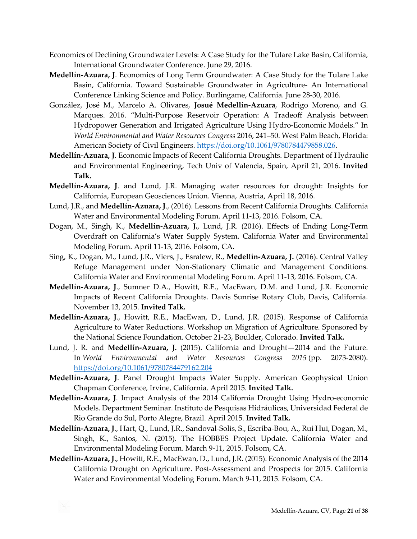- Economics of Declining Groundwater Levels: A Case Study for the Tulare Lake Basin, California, International Groundwater Conference. June 29, 2016.
- **Medellín-Azuara, J**. Economics of Long Term Groundwater: A Case Study for the Tulare Lake Basin, California. Toward Sustainable Groundwater in Agriculture- An International Conference Linking Science and Policy. Burlingame, California. June 28-30, 2016.
- González, José M., Marcelo A. Olivares, **Josué Medellín-Azuara**, Rodrigo Moreno, and G. Marques. 2016. "Multi-Purpose Reservoir Operation: A Tradeoff Analysis between Hydropower Generation and Irrigated Agriculture Using Hydro-Economic Models." In *World Environmental and Water Resources Congress* 2016, 241–50. West Palm Beach, Florida: American Society of Civil Engineers.<https://doi.org/10.1061/9780784479858.026>.
- **Medellín-Azuara, J**. Economic Impacts of Recent California Droughts. Department of Hydraulic and Environmental Engineering, Tech Univ of Valencia, Spain, April 21, 2016. **Invited Talk.**
- **Medellín-Azuara, J**. and Lund, J.R. Managing water resources for drought: Insights for California, European Geosciences Union. Vienna, Austria, April 18, 2016.
- Lund, J.R., and **Medellín-Azuara, J**., (2016). Lessons from Recent California Droughts. California Water and Environmental Modeling Forum. April 11-13, 2016. Folsom, CA.
- Dogan, M., Singh, K., **Medellín-Azuara, J.**, Lund, J.R. (2016). Effects of Ending Long-Term Overdraft on California's Water Supply System. California Water and Environmental Modeling Forum. April 11-13, 2016. Folsom, CA.
- Sing, K., Dogan, M., Lund, J.R., Viers, J., Esralew, R., **Medellín-Azuara, J.** (2016). Central Valley Refuge Management under Non-Stationary Climatic and Management Conditions. California Water and Environmental Modeling Forum. April 11-13, 2016. Folsom, CA.
- **Medellín-Azuara, J**., Sumner D.A., Howitt, R.E., MacEwan, D.M. and Lund, J.R. Economic Impacts of Recent California Droughts. Davis Sunrise Rotary Club, Davis, California. November 13, 2015. **Invited Talk.**
- **Medellín-Azuara, J**., Howitt, R.E., MacEwan, D., Lund, J.R. (2015). Response of California Agriculture to Water Reductions. Workshop on Migration of Agriculture. Sponsored by the National Science Foundation. October 21-23, Boulder, Colorado. **Invited Talk.**
- Lund, J. R. and **Medellín-Azuara, J.** (2015). California and Drought—2014 and the Future. In *World Environmental and Water Resources Congress 2015* (pp. 2073-2080). <https://doi.org/10.1061/9780784479162.204>
- **Medellín-Azuara, J**. Panel Drought Impacts Water Supply. American Geophysical Union Chapman Conference, Irvine, California. April 2015. **Invited Talk.**
- **Medellín-Azuara, J**. Impact Analysis of the 2014 California Drought Using Hydro-economic Models. Department Seminar. Instituto de Pesquisas Hidráulicas, Universidad Federal de Rio Grande do Sul, Porto Alegre, Brazil. April 2015. **Invited Talk.**
- **Medellín-Azuara, J**., Hart, Q., Lund, J.R., Sandoval-Solis, S., Escriba-Bou, A., Rui Hui, Dogan, M., Singh, K., Santos, N. (2015). The HOBBES Project Update. California Water and Environmental Modeling Forum. March 9-11, 2015. Folsom, CA.
- **Medellín-Azuara, J**., Howitt, R.E., MacEwan, D., Lund, J.R. (2015). Economic Analysis of the 2014 California Drought on Agriculture. Post-Assessment and Prospects for 2015. California Water and Environmental Modeling Forum. March 9-11, 2015. Folsom, CA.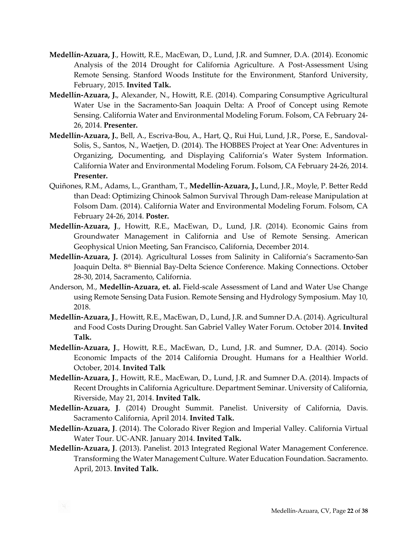- **Medellín-Azuara, J**., Howitt, R.E., MacEwan, D., Lund, J.R. and Sumner, D.A. (2014). Economic Analysis of the 2014 Drought for California Agriculture. A Post-Assessment Using Remote Sensing. Stanford Woods Institute for the Environment, Stanford University, February, 2015. **Invited Talk.**
- **Medellín-Azuara, J.**, Alexander, N., Howitt, R.E. (2014). Comparing Consumptive Agricultural Water Use in the Sacramento-San Joaquin Delta: A Proof of Concept using Remote Sensing. California Water and Environmental Modeling Forum. Folsom, CA February 24- 26, 2014. **Presenter.**
- **Medellín-Azuara, J.**, Bell, A., Escriva-Bou, A., Hart, Q., Rui Hui, Lund, J.R., Porse, E., Sandoval-Solis, S., Santos, N., Waetjen, D. (2014). The HOBBES Project at Year One: Adventures in Organizing, Documenting, and Displaying California's Water System Information. California Water and Environmental Modeling Forum. Folsom, CA February 24-26, 2014. **Presenter.**
- Quiñones, R.M., Adams, L., Grantham, T., **Medellín-Azuara, J.,** Lund, J.R., Moyle, P. Better Redd than Dead: Optimizing Chinook Salmon Survival Through Dam-release Manipulation at Folsom Dam. (2014). California Water and Environmental Modeling Forum. Folsom, CA February 24-26, 2014. **Poster.**
- **Medellín-Azuara, J**., Howitt, R.E., MacEwan, D., Lund, J.R. (2014). Economic Gains from Groundwater Management in California and Use of Remote Sensing. American Geophysical Union Meeting, San Francisco, California, December 2014.
- **Medellín-Azuara, J.** (2014). Agricultural Losses from Salinity in California's Sacramento-San Joaquin Delta. 8th Biennial Bay-Delta Science Conference. Making Connections. October 28-30, 2014, Sacramento, California.
- Anderson, M., **Medellín-Azuara, et. al.** Field-scale Assessment of Land and Water Use Change using Remote Sensing Data Fusion. Remote Sensing and Hydrology Symposium. May 10, 2018.
- **Medellín-Azuara, J**., Howitt, R.E., MacEwan, D., Lund, J.R. and Sumner D.A. (2014). Agricultural and Food Costs During Drought. San Gabriel Valley Water Forum. October 2014. **Invited Talk.**
- **Medellín-Azuara, J**., Howitt, R.E., MacEwan, D., Lund, J.R. and Sumner, D.A. (2014). Socio Economic Impacts of the 2014 California Drought. Humans for a Healthier World. October, 2014. **Invited Talk**
- **Medellín-Azuara, J**., Howitt, R.E., MacEwan, D., Lund, J.R. and Sumner D.A. (2014). Impacts of Recent Droughts in California Agriculture. Department Seminar. University of California, Riverside, May 21, 2014. **Invited Talk.**
- **Medellín-Azuara, J**. (2014) Drought Summit. Panelist. University of California, Davis. Sacramento California, April 2014. **Invited Talk.**
- **Medellín-Azuara, J**. (2014). The Colorado River Region and Imperial Valley. California Virtual Water Tour. UC-ANR. January 2014. **Invited Talk.**
- **Medellín-Azuara, J**. (2013). Panelist. 2013 Integrated Regional Water Management Conference. Transforming the Water Management Culture. Water Education Foundation. Sacramento. April, 2013. **Invited Talk.**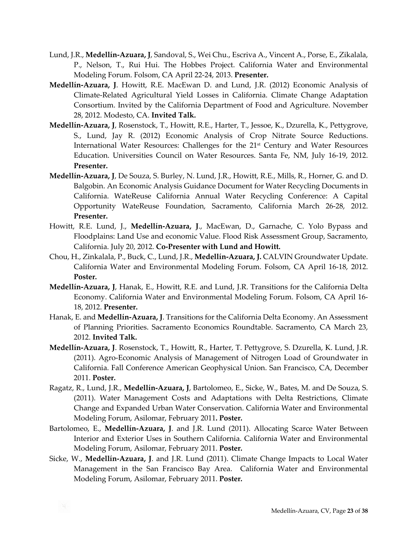- Lund, J.R., **Medellín-Azuara, J**, Sandoval, S., Wei Chu., Escriva A., Vincent A., Porse, E., Zikalala, P., Nelson, T., Rui Hui. The Hobbes Project. California Water and Environmental Modeling Forum. Folsom, CA April 22-24, 2013. **Presenter.**
- **Medellín-Azuara, J**. Howitt, R.E. MacEwan D. and Lund, J.R. (2012) Economic Analysis of Climate-Related Agricultural Yield Losses in California. Climate Change Adaptation Consortium. Invited by the California Department of Food and Agriculture. November 28, 2012. Modesto, CA. **Invited Talk.**
- **Medellín-Azuara, J**, Rosenstock, T., Howitt, R.E., Harter, T., Jessoe, K., Dzurella, K., Pettygrove, S., Lund, Jay R. (2012) Economic Analysis of Crop Nitrate Source Reductions. International Water Resources: Challenges for the 21<sup>st</sup> Century and Water Resources Education. Universities Council on Water Resources. Santa Fe, NM, July 16-19, 2012. **Presenter.**
- **Medellín-Azuara, J**, De Souza, S. Burley, N. Lund, J.R., Howitt, R.E., Mills, R., Horner, G. and D. Balgobin. An Economic Analysis Guidance Document for Water Recycling Documents in California. WateReuse California Annual Water Recycling Conference: A Capital Opportunity WateReuse Foundation, Sacramento, California March 26-28, 2012. **Presenter.**
- Howitt, R.E. Lund, J., **Medellín-Azuara, J**., MacEwan, D., Garnache, C. Yolo Bypass and Floodplains: Land Use and economic Value. Flood Risk Assessment Group, Sacramento, California. July 20, 2012. **Co-Presenter with Lund and Howitt.**
- Chou, H., Zinkalala, P., Buck, C., Lund, J.R., **Medellín-Azuara, J.** CALVIN Groundwater Update. California Water and Environmental Modeling Forum. Folsom, CA April 16-18, 2012. **Poster.**
- **Medellín-Azuara, J**, Hanak, E., Howitt, R.E. and Lund, J.R. Transitions for the California Delta Economy. California Water and Environmental Modeling Forum. Folsom, CA April 16- 18, 2012. **Presenter.**
- Hanak, E. and **Medellín-Azuara, J**. Transitions for the California Delta Economy. An Assessment of Planning Priorities. Sacramento Economics Roundtable. Sacramento, CA March 23, 2012. **Invited Talk.**
- **Medellín-Azuara, J**. Rosenstock, T., Howitt, R., Harter, T. Pettygrove, S. Dzurella, K. Lund, J.R. (2011). Agro-Economic Analysis of Management of Nitrogen Load of Groundwater in California. Fall Conference American Geophysical Union. San Francisco, CA, December 2011. **Poster.**
- Ragatz, R., Lund, J.R., **Medellín-Azuara, J**, Bartolomeo, E., Sicke, W., Bates, M. and De Souza, S. (2011). Water Management Costs and Adaptations with Delta Restrictions, Climate Change and Expanded Urban Water Conservation. California Water and Environmental Modeling Forum, Asilomar, February 2011**. Poster.**
- Bartolomeo, E., **Medellín-Azuara, J**. and J.R. Lund (2011). Allocating Scarce Water Between Interior and Exterior Uses in Southern California. California Water and Environmental Modeling Forum, Asilomar, February 2011. **Poster.**
- Sicke, W., **Medellín-Azuara, J**. and J.R. Lund (2011). Climate Change Impacts to Local Water Management in the San Francisco Bay Area. California Water and Environmental Modeling Forum, Asilomar, February 2011. **Poster.**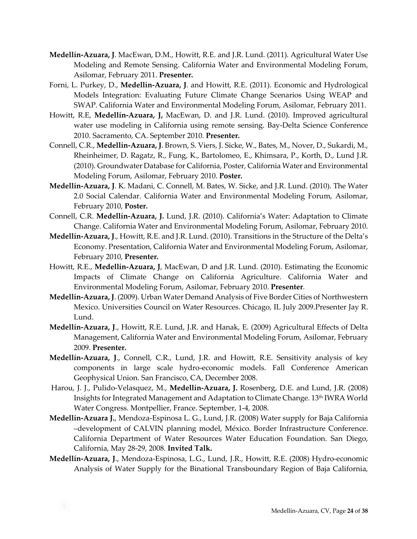- **Medellín-Azuara, J**. MacEwan, D.M., Howitt, R.E. and J.R. Lund. (2011). Agricultural Water Use Modeling and Remote Sensing. California Water and Environmental Modeling Forum, Asilomar, February 2011. **Presenter.**
- Forni, L. Purkey, D., **Medellín-Azuara, J**. and Howitt, R.E. (2011). Economic and Hydrological Models Integration: Evaluating Future Climate Change Scenarios Using WEAP and SWAP. California Water and Environmental Modeling Forum, Asilomar, February 2011.
- Howitt, R.E, **Medellín-Azuara, J,** MacEwan, D. and J.R. Lund. (2010). Improved agricultural water use modeling in California using remote sensing. Bay-Delta Science Conference 2010. Sacramento, CA. September 2010. **Presenter.**
- Connell, C.R., **Medellín-Azuara, J**. Brown, S. Viers, J. Sicke, W., Bates, M., Nover, D., Sukardi, M., Rheinheimer, D. Ragatz, R., Fung, K., Bartolomeo, E., Khimsara, P., Korth, D., Lund J.R. (2010). Groundwater Database for California, Poster, California Water and Environmental Modeling Forum, Asilomar, February 2010. **Poster.**
- **Medellín-Azuara, J**. K. Madani, C. Connell, M. Bates, W. Sicke, and J.R. Lund. (2010). The Water 2.0 Social Calendar. California Water and Environmental Modeling Forum, Asilomar, February 2010, **Poster.**
- Connell, C.R. **Medellín-Azuara, J.** Lund, J.R. (2010). California's Water: Adaptation to Climate Change. California Water and Environmental Modeling Forum, Asilomar, February 2010.
- **Medellín-Azuara, J**., Howitt, R.E. and J.R. Lund. (2010). Transitions in the Structure of the Delta's Economy. Presentation, California Water and Environmental Modeling Forum, Asilomar, February 2010, **Presenter.**
- Howitt, R.E., **Medellín-Azuara, J**, MacEwan, D and J.R. Lund. (2010). Estimating the Economic Impacts of Climate Change on California Agriculture. California Water and Environmental Modeling Forum, Asilomar, February 2010. **Presenter**.
- **Medellín-Azuara, J**. (2009). Urban Water Demand Analysis of Five Border Cities of Northwestern Mexico. Universities Council on Water Resources. Chicago, IL July 2009.Presenter Jay R. Lund.
- **Medellín-Azuara, J**., Howitt, R.E. Lund, J.R. and Hanak, E. (2009) Agricultural Effects of Delta Management, California Water and Environmental Modeling Forum, Asilomar, February 2009. **Presenter.**
- **Medellín-Azuara, J**., Connell, C.R., Lund, J.R. and Howitt, R.E. Sensitivity analysis of key components in large scale hydro-economic models. Fall Conference American Geophysical Union. San Francisco, CA, December 2008.
- Harou, J. J., Pulido-Velasquez, M., **Medellín-Azuara, J.** Rosenberg, D.E. and Lund, J.R. (2008) Insights for Integrated Management and Adaptation to Climate Change. 13th IWRA World Water Congress. Montpellier, France. September, 1-4, 2008.
- **Medellín-Azuara J.**, Mendoza-Espinosa L. G., Lund, J.R. (2008) Water supply for Baja California –development of CALVIN planning model, México. Border Infrastructure Conference. California Department of Water Resources Water Education Foundation. San Diego, California, May 28-29, 2008. **Invited Talk.**
- **Medellín-Azuara, J**., Mendoza-Espinosa, L.G., Lund, J.R., Howitt, R.E. (2008) Hydro-economic Analysis of Water Supply for the Binational Transboundary Region of Baja California,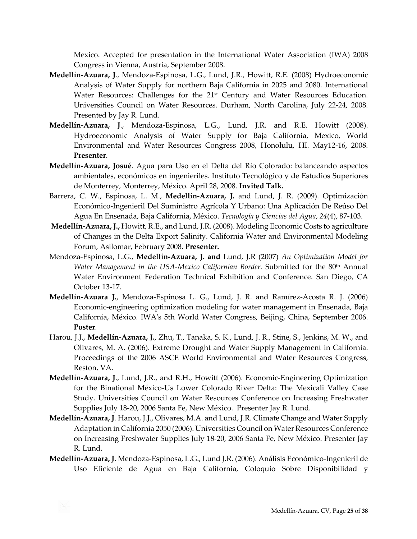Mexico. Accepted for presentation in the International Water Association (IWA) 2008 Congress in Vienna, Austria, September 2008.

- **Medellín-Azuara, J**., Mendoza-Espinosa, L.G., Lund, J.R., Howitt, R.E. (2008) Hydroeconomic Analysis of Water Supply for northern Baja California in 2025 and 2080. International Water Resources: Challenges for the 21<sup>st</sup> Century and Water Resources Education. Universities Council on Water Resources. Durham, North Carolina, July 22-24, 2008. Presented by Jay R. Lund.
- **Medellín-Azuara, J**., Mendoza-Espinosa, L.G., Lund, J.R. and R.E. Howitt (2008). Hydroeconomic Analysis of Water Supply for Baja California, Mexico, World Environmental and Water Resources Congress 2008, Honolulu, HI. May12-16, 2008. **Presenter**.
- **Medellín-Azuara, Josué**. Agua para Uso en el Delta del Río Colorado: balanceando aspectos ambientales, económicos en ingenieriles. Instituto Tecnológico y de Estudios Superiores de Monterrey, Monterrey, México. April 28, 2008. **Invited Talk.**
- Barrera, C. W., Espinosa, L. M., **Medellín-Azuara, J.** and Lund, J. R. (2009). Optimización Económico-Ingenieril Del Suministro Agrícola Y Urbano: Una Aplicación De Reúso Del Agua En Ensenada, Baja California, México. *Tecnología y Ciencias del Agua*, *24*(4), 87-103.
- **Medellín-Azuara, J.,** Howitt, R.E., and Lund, J.R. (2008). Modeling Economic Costs to agriculture of Changes in the Delta Export Salinity. California Water and Environmental Modeling Forum, Asilomar, February 2008. **Presenter.**
- Mendoza-Espinosa, L.G., **Medellín-Azuara, J. and** Lund, J.R (2007) *An Optimization Model for*  Water Management in the USA-Mexico Californian Border. Submitted for the 80<sup>th</sup> Annual Water Environment Federation Technical Exhibition and Conference. San Diego, CA October 13-17.
- **Medellín-Azuara J.**, Mendoza-Espinosa L. G., Lund, J. R. and Ramírez-Acosta R. J. (2006) Economic-engineering optimization modeling for water management in Ensenada, Baja California, México. IWA's 5th World Water Congress, Beijing, China, September 2006. **Poster**.
- Harou, J.J., **Medellín-Azuara, J.**, Zhu, T., Tanaka, S. K., Lund, J. R., Stine, S., Jenkins, M. W., and Olivares, M. A. (2006). Extreme Drought and Water Supply Management in California. Proceedings of the 2006 ASCE World Environmental and Water Resources Congress, Reston, VA.
- **Medellín-Azuara, J**., Lund, J.R., and R.H., Howitt (2006). Economic-Engineering Optimization for the Binational México-Us Lower Colorado River Delta: The Mexicali Valley Case Study. Universities Council on Water Resources Conference on Increasing Freshwater Supplies July 18-20, 2006 Santa Fe, New México. Presenter Jay R. Lund.
- **Medellín-Azuara, J**. Harou, J.J., Olivares, M.A. and Lund, J.R. Climate Change and Water Supply Adaptation in California 2050 (2006). Universities Council on Water Resources Conference on Increasing Freshwater Supplies July 18-20, 2006 Santa Fe, New México. Presenter Jay R. Lund.
- **Medellín-Azuara, J**. Mendoza-Espinosa, L.G., Lund J.R. (2006). Análisis Económico-Ingenieril de Uso Eficiente de Agua en Baja California, Coloquio Sobre Disponibilidad y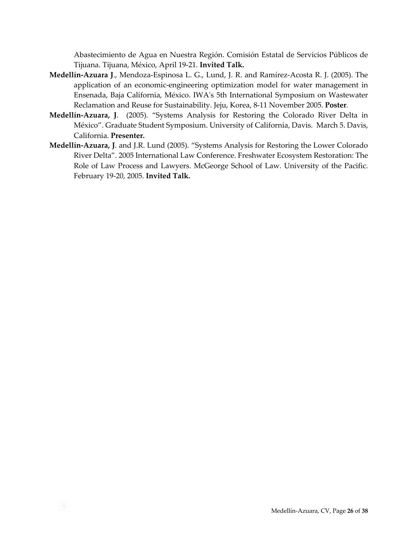Abastecimiento de Agua en Nuestra Región. Comisión Estatal de Servicios Públicos de Tijuana. Tijuana, México, April 19-21. **Invited Talk.**

- **Medellín-Azuara J**., Mendoza-Espinosa L. G., Lund, J. R. and Ramírez-Acosta R. J. (2005). The application of an economic-engineering optimization model for water management in Ensenada, Baja California, México. IWA's 5th International Symposium on Wastewater Reclamation and Reuse for Sustainability. Jeju, Korea, 8-11 November 2005. **Poster**.
- **Medellín-Azuara, J**. (2005). "Systems Analysis for Restoring the Colorado River Delta in México". Graduate Student Symposium. University of California, Davis. March 5. Davis, California. **Presenter.**
- **Medellín-Azuara, J**. and J.R. Lund (2005). "Systems Analysis for Restoring the Lower Colorado River Delta". 2005 International Law Conference. Freshwater Ecosystem Restoration: The Role of Law Process and Lawyers. McGeorge School of Law. University of the Pacific. February 19-20, 2005. **Invited Talk.**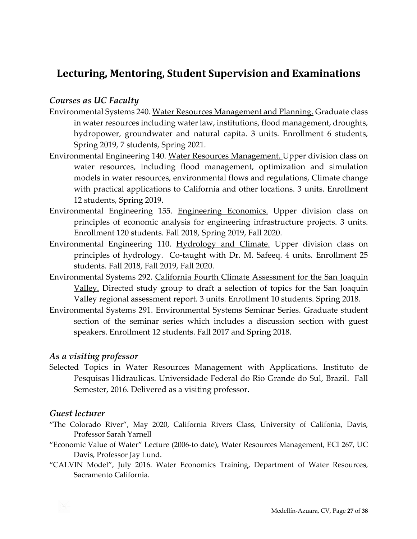# Lecturing, Mentoring, Student Supervision and Examinations

#### *Courses as UC Faculty*

- Environmental Systems 240. Water Resources Management and Planning. Graduate class in water resources including water law, institutions, flood management, droughts, hydropower, groundwater and natural capita. 3 units. Enrollment 6 students, Spring 2019, 7 students, Spring 2021.
- Environmental Engineering 140. Water Resources Management. Upper division class on water resources, including flood management, optimization and simulation models in water resources, environmental flows and regulations, Climate change with practical applications to California and other locations. 3 units. Enrollment 12 students, Spring 2019.
- Environmental Engineering 155. Engineering Economics. Upper division class on principles of economic analysis for engineering infrastructure projects. 3 units. Enrollment 120 students. Fall 2018, Spring 2019, Fall 2020.
- Environmental Engineering 110. Hydrology and Climate. Upper division class on principles of hydrology. Co-taught with Dr. M. Safeeq. 4 units. Enrollment 25 students. Fall 2018, Fall 2019, Fall 2020.
- Environmental Systems 292. California Fourth Climate Assessment for the San Joaquin Valley. Directed study group to draft a selection of topics for the San Joaquin Valley regional assessment report. 3 units. Enrollment 10 students. Spring 2018.
- Environmental Systems 291. Environmental Systems Seminar Series. Graduate student section of the seminar series which includes a discussion section with guest speakers. Enrollment 12 students. Fall 2017 and Spring 2018.

#### *As a visiting professor*

Selected Topics in Water Resources Management with Applications. Instituto de Pesquisas Hidraulicas. Universidade Federal do Rio Grande do Sul, Brazil. Fall Semester, 2016. Delivered as a visiting professor.

## *Guest lecturer*

- "The Colorado River", May 2020, California Rivers Class, University of Califonia, Davis, Professor Sarah Yarnell
- "Economic Value of Water" Lecture (2006-to date), Water Resources Management, ECI 267, UC Davis, Professor Jay Lund.
- "CALVIN Model", July 2016. Water Economics Training, Department of Water Resources, Sacramento California.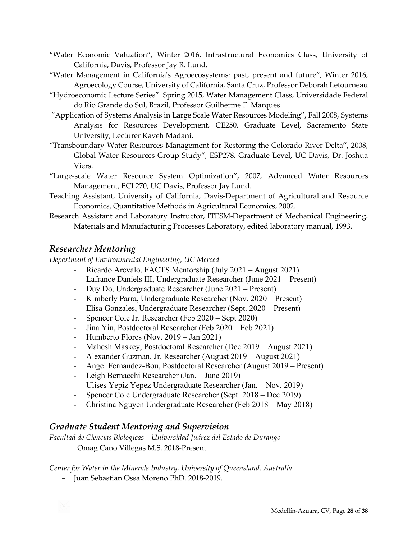- "Water Economic Valuation", Winter 2016, Infrastructural Economics Class, University of California, Davis, Professor Jay R. Lund.
- "Water Management in California's Agroecosystems: past, present and future", Winter 2016, Agroecology Course, University of California, Santa Cruz, Professor Deborah Letourneau
- "Hydroeconomic Lecture Series". Spring 2015, Water Management Class, Universidade Federal do Rio Grande do Sul, Brazil, Professor Guilherme F. Marques.
- "Application of Systems Analysis in Large Scale Water Resources Modeling"**,** Fall 2008, Systems Analysis for Resources Development, CE250, Graduate Level, Sacramento State University, Lecturer Kaveh Madani.
- "Transboundary Water Resources Management for Restoring the Colorado River Delta**",** 2008, Global Water Resources Group Study", ESP278, Graduate Level, UC Davis, Dr. Joshua Viers.
- **"**Large-scale Water Resource System Optimization"**,** 2007, Advanced Water Resources Management, ECI 270, UC Davis, Professor Jay Lund.
- Teaching Assistant, University of California, Davis-Department of Agricultural and Resource Economics, Quantitative Methods in Agricultural Economics, 2002.
- Research Assistant and Laboratory Instructor, ITESM-Department of Mechanical Engineering**.** Materials and Manufacturing Processes Laboratory, edited laboratory manual, 1993.

#### *Researcher Mentoring*

*Department of Environmental Engineering, UC Merced*

- *-* Ricardo Arevalo, FACTS Mentorship (July 2021 August 2021)
- *-* Lafrance Daniels III, Undergraduate Researcher (June 2021 Present)
- *-* Duy Do, Undergraduate Researcher (June 2021 Present)
- *-* Kimberly Parra, Undergraduate Researcher (Nov. 2020 Present)
- *-* Elisa Gonzales, Undergraduate Researcher (Sept. 2020 Present)
- *-* Spencer Cole Jr. Researcher (Feb 2020 Sept 2020)
- *-* Jina Yin, Postdoctoral Researcher (Feb 2020 Feb 2021)
- *-* Humberto Flores (Nov. 2019 Jan 2021)
- *-* Mahesh Maskey, Postdoctoral Researcher (Dec 2019 August 2021)
- *-* Alexander Guzman, Jr. Researcher (August 2019 August 2021)
- *-* Angel Fernandez-Bou, Postdoctoral Researcher (August 2019 Present)
- *-* Leigh Bernacchi Researcher (Jan. June 2019)
- *-* Ulises Yepiz Yepez Undergraduate Researcher (Jan. Nov. 2019)
- *-* Spencer Cole Undergraduate Researcher (Sept. 2018 Dec 2019)
- *-* Christina Nguyen Undergraduate Researcher (Feb 2018 May 2018)

#### *Graduate Student Mentoring and Supervision*

*Facultad de Ciencias Biologicas – Universidad Juárez del Estado de Durango*

− Omag Cano Villegas M.S. 2018-Present.

#### *Center for Water in the Minerals Industry, University of Queensland, Australia*

− Juan Sebastian Ossa Moreno PhD. 2018-2019.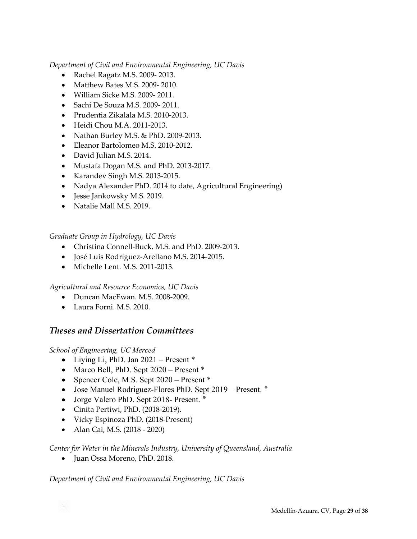*Department of Civil and Environmental Engineering, UC Davis*

- Rachel Ragatz M.S. 2009- 2013.
- Matthew Bates M.S. 2009-2010.
- William Sicke M.S. 2009- 2011.
- Sachi De Souza M.S. 2009- 2011.
- Prudentia Zikalala M.S. 2010-2013.
- Heidi Chou M.A. 2011-2013.
- Nathan Burley M.S. & PhD. 2009-2013.
- Eleanor Bartolomeo M.S. 2010-2012.
- David Julian M.S. 2014.
- Mustafa Dogan M.S. and PhD. 2013-2017.
- Karandev Singh M.S. 2013-2015.
- Nadya Alexander PhD. 2014 to date, Agricultural Engineering)
- Jesse Jankowsky M.S. 2019.
- Natalie Mall M.S. 2019.

*Graduate Group in Hydrology, UC Davis*

- Christina Connell-Buck, M.S. and PhD. 2009-2013.
- José Luis Rodríguez-Arellano M.S. 2014-2015.
- Michelle Lent. M.S. 2011-2013.

*Agricultural and Resource Economics, UC Davis*

- Duncan MacEwan. M.S. 2008-2009.
- Laura Forni. M.S. 2010.

## *Theses and Dissertation Committees*

*School of Engineering, UC Merced*

- Living Li, PhD. Jan 2021 Present \*
- Marco Bell, PhD. Sept 2020 Present \*
- Spencer Cole, M.S. Sept 2020 Present \*
- Jose Manuel Rodriguez-Flores PhD. Sept 2019 Present. ٭
- Jorge Valero PhD. Sept 2018- Present. \*
- Cinita Pertiwi, PhD. (2018-2019).
- Vicky Espinoza PhD. (2018-Present)
- Alan Cai, M.S. (2018 2020)

*Center for Water in the Minerals Industry, University of Queensland, Australia*

• Juan Ossa Moreno, PhD. 2018.

*Department of Civil and Environmental Engineering, UC Davis*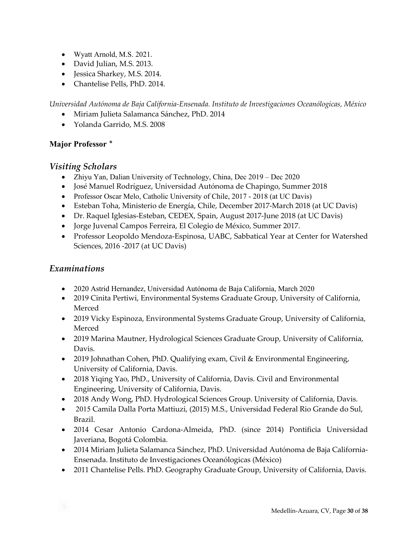- Wyatt Arnold, M.S. 2021.
- David Julian, M.S. 2013.
- Jessica Sharkey, M.S. 2014.
- Chantelise Pells, PhD. 2014.

*Universidad Autónoma de Baja California-Ensenada. Instituto de Investigaciones Oceanólogicas, México*

- Miriam Julieta Salamanca Sánchez, PhD. 2014
- Yolanda Garrido, M.S. 2008

# **Major Professor ٭**

# *Visiting Scholars*

- Zhiyu Yan, Dalian University of Technology, China, Dec 2019 Dec 2020
- José Manuel Rodríguez, Universidad Autónoma de Chapingo, Summer 2018
- Professor Oscar Melo, Catholic University of Chile, 2017 2018 (at UC Davis)
- Esteban Toha, Ministerio de Energía, Chile, December 2017-March 2018 (at UC Davis)
- Dr. Raquel Iglesias-Esteban, CEDEX, Spain, August 2017-June 2018 (at UC Davis)
- Jorge Juvenal Campos Ferreira, El Colegio de México, Summer 2017.
- Professor Leopoldo Mendoza-Espinosa, UABC, Sabbatical Year at Center for Watershed Sciences, 2016 -2017 (at UC Davis)

# *Examinations*

- 2020 Astrid Hernandez, Universidad Autónoma de Baja California, March 2020
- 2019 Cinita Pertiwi, Environmental Systems Graduate Group, University of California, Merced
- 2019 Vicky Espinoza, Environmental Systems Graduate Group, University of California, Merced
- 2019 Marina Mautner, Hydrological Sciences Graduate Group, University of California, Davis.
- 2019 Johnathan Cohen, PhD. Qualifying exam, Civil & Environmental Engineering, University of California, Davis.
- 2018 Yiqing Yao, PhD., University of California, Davis. Civil and Environmental Engineering, University of California, Davis.
- 2018 Andy Wong, PhD. Hydrological Sciences Group. University of California, Davis.
- 2015 Camila Dalla Porta Mattiuzi, (2015) M.S., Universidad Federal Rio Grande do Sul, Brazil.
- 2014 Cesar Antonio Cardona-Almeida, PhD. (since 2014) Pontificia Universidad Javeriana, Bogotá Colombia.
- 2014 Miriam Julieta Salamanca Sánchez, PhD. Universidad Autónoma de Baja California-Ensenada. Instituto de Investigaciones Oceanólogicas (México)
- 2011 Chantelise Pells. PhD. Geography Graduate Group, University of California, Davis.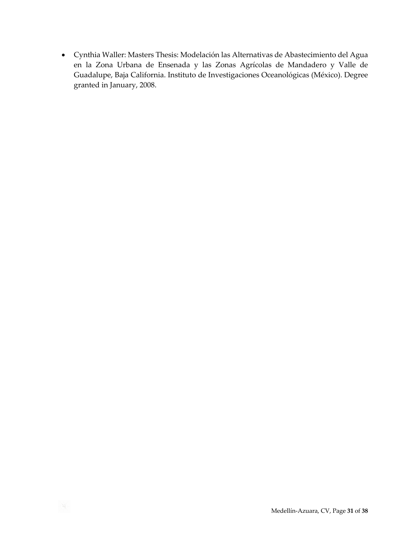• Cynthia Waller: Masters Thesis: Modelación las Alternativas de Abastecimiento del Agua en la Zona Urbana de Ensenada y las Zonas Agrícolas de Mandadero y Valle de Guadalupe, Baja California. Instituto de Investigaciones Oceanológicas (México). Degree granted in January, 2008.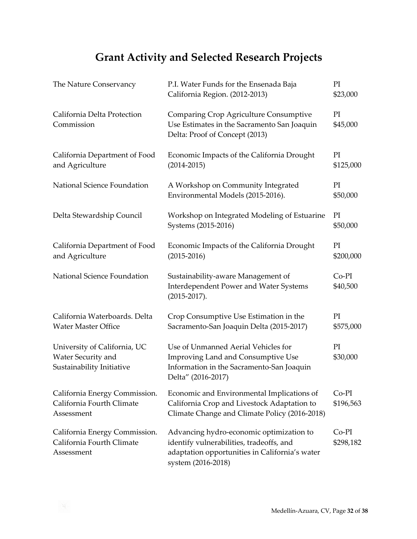# **Grant Activity and Selected Research Projects**

| The Nature Conservancy                                                          | P.I. Water Funds for the Ensenada Baja<br>California Region. (2012-2013)                                                                                     | PI<br>\$23,000       |
|---------------------------------------------------------------------------------|--------------------------------------------------------------------------------------------------------------------------------------------------------------|----------------------|
| California Delta Protection<br>Commission                                       | Comparing Crop Agriculture Consumptive<br>Use Estimates in the Sacramento San Joaquin<br>Delta: Proof of Concept (2013)                                      | PI<br>\$45,000       |
| California Department of Food<br>and Agriculture                                | Economic Impacts of the California Drought<br>$(2014 - 2015)$                                                                                                | PI<br>\$125,000      |
| National Science Foundation                                                     | A Workshop on Community Integrated<br>Environmental Models (2015-2016).                                                                                      | PI<br>\$50,000       |
| Delta Stewardship Council                                                       | Workshop on Integrated Modeling of Estuarine<br>Systems (2015-2016)                                                                                          | PI<br>\$50,000       |
| California Department of Food<br>and Agriculture                                | Economic Impacts of the California Drought<br>$(2015 - 2016)$                                                                                                | PI<br>\$200,000      |
| National Science Foundation                                                     | Sustainability-aware Management of<br><b>Interdependent Power and Water Systems</b><br>$(2015 - 2017).$                                                      | $Co-PI$<br>\$40,500  |
| California Waterboards. Delta<br><b>Water Master Office</b>                     | Crop Consumptive Use Estimation in the<br>Sacramento-San Joaquin Delta (2015-2017)                                                                           | PI<br>\$575,000      |
| University of California, UC<br>Water Security and<br>Sustainability Initiative | Use of Unmanned Aerial Vehicles for<br>Improving Land and Consumptive Use<br>Information in the Sacramento-San Joaquin<br>Delta" (2016-2017)                 | PI<br>\$30,000       |
| California Energy Commission.<br>California Fourth Climate<br>Assessment        | Economic and Environmental Implications of<br>California Crop and Livestock Adaptation to<br>Climate Change and Climate Policy (2016-2018)                   | $Co-PI$<br>\$196,563 |
| California Energy Commission.<br>California Fourth Climate<br>Assessment        | Advancing hydro-economic optimization to<br>identify vulnerabilities, tradeoffs, and<br>adaptation opportunities in California's water<br>system (2016-2018) | $Co-PI$<br>\$298,182 |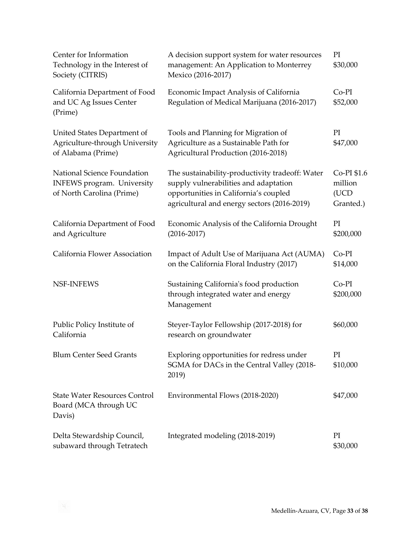| Center for Information<br>Technology in the Interest of<br>Society (CITRIS)                   | A decision support system for water resources<br>management: An Application to Monterrey<br>Mexico (2016-2017)                                                                   | PI<br>\$30,000                              |
|-----------------------------------------------------------------------------------------------|----------------------------------------------------------------------------------------------------------------------------------------------------------------------------------|---------------------------------------------|
| California Department of Food<br>and UC Ag Issues Center<br>(Prime)                           | Economic Impact Analysis of California<br>Regulation of Medical Marijuana (2016-2017)                                                                                            | $Co-PI$<br>\$52,000                         |
| United States Department of<br>Agriculture-through University<br>of Alabama (Prime)           | Tools and Planning for Migration of<br>Agriculture as a Sustainable Path for<br>Agricultural Production (2016-2018)                                                              | PI<br>\$47,000                              |
| National Science Foundation<br><b>INFEWS</b> program. University<br>of North Carolina (Prime) | The sustainability-productivity tradeoff: Water<br>supply vulnerabilities and adaptation<br>opportunities in California's coupled<br>agricultural and energy sectors (2016-2019) | Co-PI \$1.6<br>million<br>(UCD<br>Granted.) |
| California Department of Food<br>and Agriculture                                              | Economic Analysis of the California Drought<br>$(2016 - 2017)$                                                                                                                   | PI<br>\$200,000                             |
| California Flower Association                                                                 | Impact of Adult Use of Marijuana Act (AUMA)<br>on the California Floral Industry (2017)                                                                                          | Co-PI<br>\$14,000                           |
| <b>NSF-INFEWS</b>                                                                             | Sustaining California's food production<br>through integrated water and energy<br>Management                                                                                     | $Co-PI$<br>\$200,000                        |
| Public Policy Institute of<br>California                                                      | Steyer-Taylor Fellowship (2017-2018) for<br>research on groundwater                                                                                                              | \$60,000                                    |
| <b>Blum Center Seed Grants</b>                                                                | Exploring opportunities for redress under<br>SGMA for DACs in the Central Valley (2018-<br>2019)                                                                                 | PI<br>\$10,000                              |
| <b>State Water Resources Control</b><br>Board (MCA through UC<br>Davis)                       | Environmental Flows (2018-2020)                                                                                                                                                  | \$47,000                                    |
| Delta Stewardship Council,<br>subaward through Tetratech                                      | Integrated modeling (2018-2019)                                                                                                                                                  | PI<br>\$30,000                              |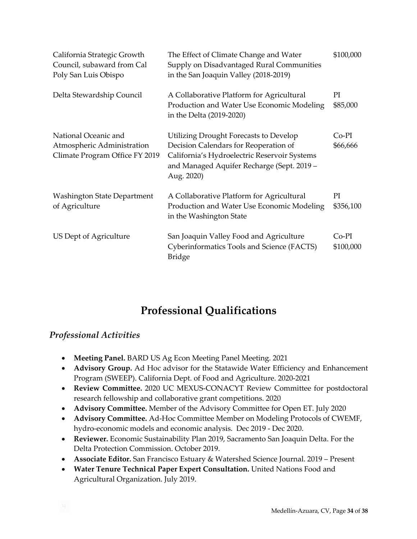| California Strategic Growth<br>Council, subaward from Cal<br>Poly San Luis Obispo    | The Effect of Climate Change and Water<br>Supply on Disadvantaged Rural Communities<br>in the San Joaquin Valley (2018-2019)                                                                | \$100,000            |
|--------------------------------------------------------------------------------------|---------------------------------------------------------------------------------------------------------------------------------------------------------------------------------------------|----------------------|
| Delta Stewardship Council                                                            | A Collaborative Platform for Agricultural<br>Production and Water Use Economic Modeling<br>in the Delta (2019-2020)                                                                         | PI<br>\$85,000       |
| National Oceanic and<br>Atmospheric Administration<br>Climate Program Office FY 2019 | Utilizing Drought Forecasts to Develop<br>Decision Calendars for Reoperation of<br>California's Hydroelectric Reservoir Systems<br>and Managed Aquifer Recharge (Sept. 2019 -<br>Aug. 2020) | Co-PI<br>\$66,666    |
| <b>Washington State Department</b><br>of Agriculture                                 | A Collaborative Platform for Agricultural<br>Production and Water Use Economic Modeling<br>in the Washington State                                                                          | PI<br>\$356,100      |
| US Dept of Agriculture                                                               | San Joaquin Valley Food and Agriculture<br>Cyberinformatics Tools and Science (FACTS)<br><b>Bridge</b>                                                                                      | $Co-PI$<br>\$100,000 |

# **Professional Qualifications**

# *Professional Activities*

- **Meeting Panel.** BARD US Ag Econ Meeting Panel Meeting. 2021
- **Advisory Group.** Ad Hoc advisor for the Statawide Water Efficiency and Enhancement Program (SWEEP). California Dept. of Food and Agriculture. 2020-2021
- **Review Committee.** 2020 UC MEXUS-CONACYT Review Committee for postdoctoral research fellowship and collaborative grant competitions. 2020
- **Advisory Committee.** Member of the Advisory Committee for Open ET. July 2020
- **Advisory Committee.** Ad-Hoc Committee Member on Modeling Protocols of CWEMF, hydro-economic models and economic analysis. Dec 2019 - Dec 2020.
- **Reviewer.** Economic Sustainability Plan 2019, Sacramento San Joaquin Delta. For the Delta Protection Commission. October 2019.
- **Associate Editor.** San Francisco Estuary & Watershed Science Journal. 2019 Present
- **Water Tenure Technical Paper Expert Consultation.** United Nations Food and Agricultural Organization. July 2019.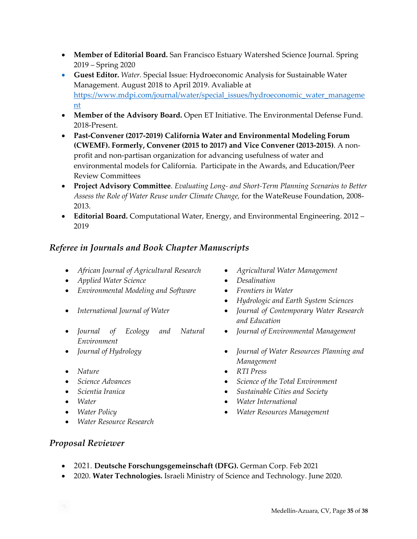- **Member of Editorial Board.** San Francisco Estuary Watershed Science Journal. Spring 2019 – Spring 2020
- **Guest Editor.** *Water.* Special Issue: Hydroeconomic Analysis for Sustainable Water Management. August 2018 to April 2019. Avaliable at [https://www.mdpi.com/journal/water/special\\_issues/hydroeconomic\\_water\\_managem](https://www.mdpi.com/journal/water/special_issues/hydroeconomic_water_management)e [nt](https://www.mdpi.com/journal/water/special_issues/hydroeconomic_water_management)
- **Member of the Advisory Board.** Open ET Initiative. The Environmental Defense Fund. 2018-Present.
- **Past-Convener (2017-2019) California Water and Environmental Modeling Forum (CWEMF). Formerly, Convener (2015 to 2017) and Vice Convener (2013-2015)**. A nonprofit and non-partisan organization for advancing usefulness of water and environmental models for California. Participate in the Awards, and Education/Peer Review Committees
- **Project Advisory Committee**. *Evaluating Long- and Short-Term Planning Scenarios to Better Assess the Role of Water Reuse under Climate Change,* for the WateReuse Foundation, 2008- 2013.
- **Editorial Board.** Computational Water, Energy, and Environmental Engineering. 2012 2019

# *Referee in Journals and Book Chapter Manuscripts*

- *African Journal of Agricultural Research Agricultural Water Management*
- *Applied Water Science Desalination*
- *Environmental Modeling and Software Frontiers in Water*
- 
- *Journal of Ecology and Natural Environment*
- 
- *Nature*
- *Science Advances*
- 
- 
- 
- *Water Resource Research*
- 
- 
- 
- *Hydrologic and Earth System Sciences*
- *International Journal of Water Journal of Contemporary Water Research and Education*
	- *Journal of Environmental Management*
- *Journal of Hydrology Journal of Water Resources Planning and Management*
	- *RTI Press*
	- *Science of the Total Environment*
- *Scientia Iranica Sustainable Cities and Society*
- *Water Water International*
	- *Water Policy Water Resources Management*

## *Proposal Reviewer*

- 2021. **Deutsche Forschungsgemeinschaft (DFG).** German Corp. Feb 2021
- 2020. **Water Technologies.** Israeli Ministry of Science and Technology. June 2020.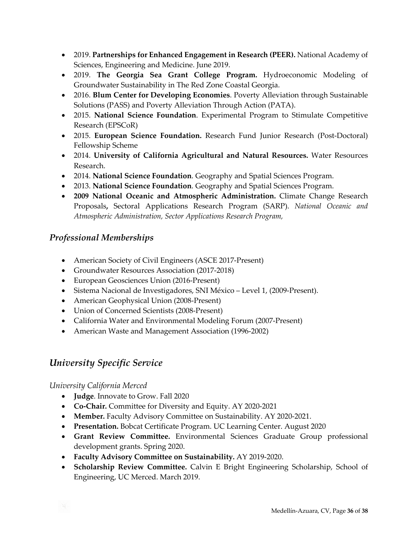- 2019. **Partnerships for Enhanced Engagement in Research (PEER).** National Academy of Sciences, Engineering and Medicine. June 2019.
- 2019. **The Georgia Sea Grant College Program.** Hydroeconomic Modeling of Groundwater Sustainability in The Red Zone Coastal Georgia.
- 2016. **Blum Center for Developing Economies**. Poverty Alleviation through Sustainable Solutions (PASS) and Poverty Alleviation Through Action (PATA).
- 2015. **National Science Foundation**. Experimental Program to Stimulate Competitive Research (EPSCoR)
- 2015. **European Science Foundation.** Research Fund Junior Research (Post-Doctoral) Fellowship Scheme
- 2014. **University of California Agricultural and Natural Resources.** Water Resources Research.
- 2014. **National Science Foundation**. Geography and Spatial Sciences Program.
- 2013. **National Science Foundation**. Geography and Spatial Sciences Program.
- **2009 National Oceanic and Atmospheric Administration.** Climate Change Research Proposals**,** Sectoral Applications Research Program (SARP). *National Oceanic and Atmospheric Administration, Sector Applications Research Program,*

# *Professional Memberships*

- American Society of Civil Engineers (ASCE 2017-Present)
- Groundwater Resources Association (2017-2018)
- European Geosciences Union (2016-Present)
- Sistema Nacional de Investigadores, SNI México Level 1, (2009-Present).
- American Geophysical Union (2008-Present)
- Union of Concerned Scientists (2008-Present)
- California Water and Environmental Modeling Forum (2007-Present)
- American Waste and Management Association (1996-2002)

# *University Specific Service*

#### *University California Merced*

- **Judge**. Innovate to Grow. Fall 2020
- **Co-Chair.** Committee for Diversity and Equity. AY 2020-2021
- **Member.** Faculty Advisory Committee on Sustainability. AY 2020-2021.
- **Presentation.** Bobcat Certificate Program. UC Learning Center. August 2020
- **Grant Review Committee.** Environmental Sciences Graduate Group professional development grants. Spring 2020.
- **Faculty Advisory Committee on Sustainability.** AY 2019-2020.
- **Scholarship Review Committee.** Calvin E Bright Engineering Scholarship, School of Engineering, UC Merced. March 2019.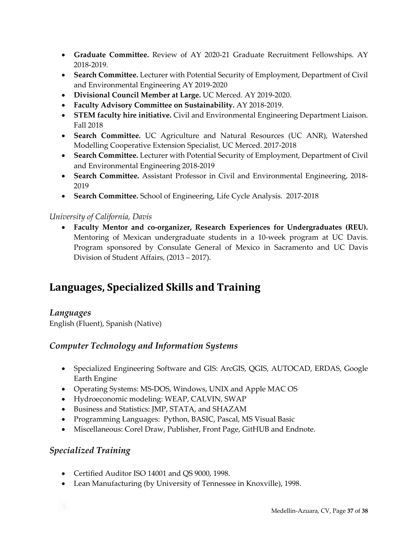- **Graduate Committee.** Review of AY 2020-21 Graduate Recruitment Fellowships. AY 2018-2019.
- **Search Committee.** Lecturer with Potential Security of Employment, Department of Civil and Environmental Engineering AY 2019-2020
- **Divisional Council Member at Large.** UC Merced. AY 2019-2020.
- **Faculty Advisory Committee on Sustainability.** AY 2018-2019.
- **STEM faculty hire initiative.** Civil and Environmental Engineering Department Liaison. Fall 2018
- **Search Committee.** UC Agriculture and Natural Resources (UC ANR), Watershed Modelling Cooperative Extension Specialist, UC Merced. 2017-2018
- **Search Committee.** Lecturer with Potential Security of Employment, Department of Civil and Environmental Engineering 2018-2019
- **Search Committee.** Assistant Professor in Civil and Environmental Engineering, 2018- 2019
- **Search Committee.** School of Engineering, Life Cycle Analysis. 2017-2018

#### *University of California, Davis*

• **Faculty Mentor and co-organizer, Research Experiences for Undergraduates (REU).**  Mentoring of Mexican undergraduate students in a 10-week program at UC Davis. Program sponsored by Consulate General of Mexico in Sacramento and UC Davis Division of Student Affairs, (2013 – 2017).

# Languages, Specialized Skills and Training

## *Languages*

English (Fluent), Spanish (Native)

## *Computer Technology and Information Systems*

- Specialized Engineering Software and GIS: ArcGIS, QGIS, AUTOCAD, ERDAS, Google Earth Engine
- Operating Systems: MS-DOS, Windows, UNIX and Apple MAC OS
- Hydroeconomic modeling: WEAP, CALVIN, SWAP
- Business and Statistics: JMP, STATA, and SHAZAM
- Programming Languages: Python, BASIC, Pascal, MS Visual Basic
- Miscellaneous: Corel Draw, Publisher, Front Page, GitHUB and Endnote.

## *Specialized Training*

- Certified Auditor ISO 14001 and QS 9000, 1998.
- Lean Manufacturing (by University of Tennessee in Knoxville), 1998.